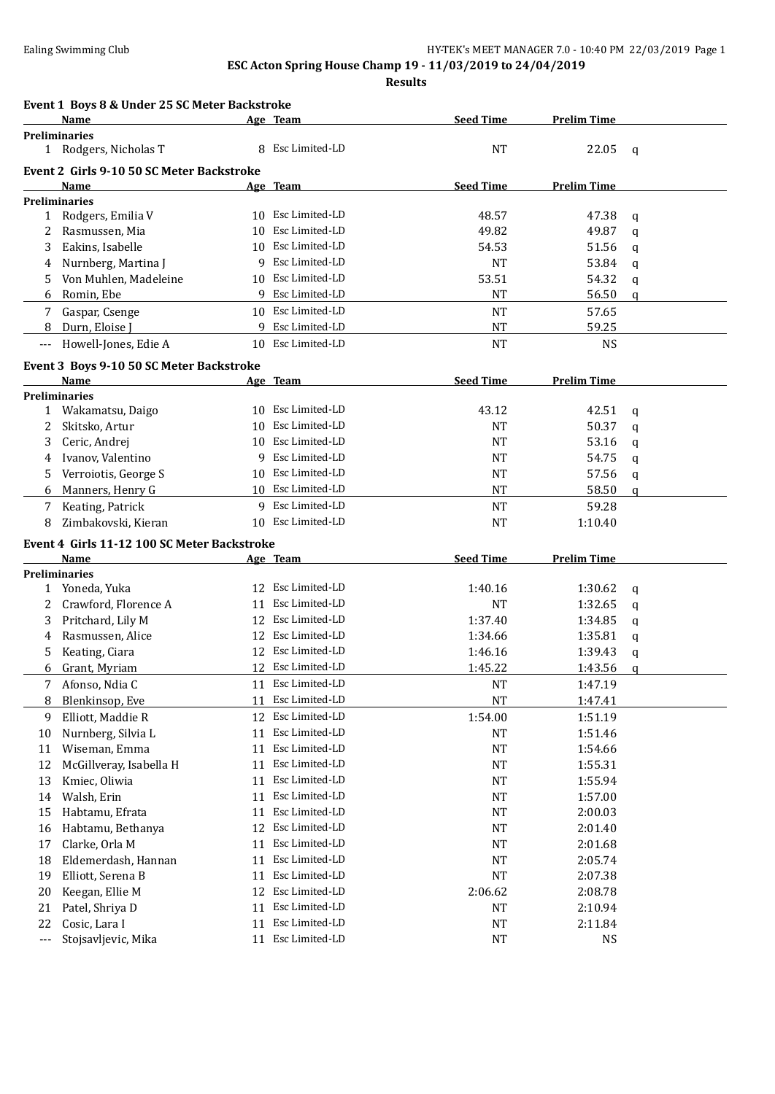**Results**

#### **Event 1 Boys 8 & Under 25 SC Meter Backstroke**

|       | <b>Name</b>                                 |     | Age Team          | <b>Seed Time</b> | <b>Prelim Time</b> |             |
|-------|---------------------------------------------|-----|-------------------|------------------|--------------------|-------------|
|       | <b>Preliminaries</b>                        |     |                   |                  |                    |             |
|       | 1 Rodgers, Nicholas T                       | 8   | Esc Limited-LD    | <b>NT</b>        | 22.05              | q           |
|       | Event 2 Girls 9-10 50 SC Meter Backstroke   |     |                   |                  |                    |             |
|       | Name                                        |     | Age Team          | <b>Seed Time</b> | <b>Prelim Time</b> |             |
|       | <b>Preliminaries</b>                        |     |                   |                  |                    |             |
|       | 1 Rodgers, Emilia V                         | 10  | Esc Limited-LD    | 48.57            | 47.38              | q           |
| 2     | Rasmussen, Mia                              | 10  | Esc Limited-LD    | 49.82            | 49.87              | $\mathbf q$ |
| 3     | Eakins, Isabelle                            | 10. | Esc Limited-LD    | 54.53            | 51.56              | q           |
| 4     | Nurnberg, Martina J                         | 9   | Esc Limited-LD    | NT               | 53.84              | q           |
| 5     | Von Muhlen, Madeleine                       |     | 10 Esc Limited-LD | 53.51            | 54.32              | q           |
| 6     | Romin, Ebe                                  |     | 9 Esc Limited-LD  | <b>NT</b>        | 56.50              | q           |
| 7     | Gaspar, Csenge                              |     | 10 Esc Limited-LD | <b>NT</b>        | 57.65              |             |
| 8     | Durn, Eloise J                              | 9   | Esc Limited-LD    | <b>NT</b>        | 59.25              |             |
| $---$ | Howell-Jones, Edie A                        |     | 10 Esc Limited-LD | <b>NT</b>        | <b>NS</b>          |             |
|       | Event 3 Boys 9-10 50 SC Meter Backstroke    |     |                   |                  |                    |             |
|       | Name                                        |     | Age Team          | <b>Seed Time</b> | <b>Prelim Time</b> |             |
|       | <b>Preliminaries</b>                        |     |                   |                  |                    |             |
| 1     | Wakamatsu, Daigo                            | 10  | Esc Limited-LD    | 43.12            | 42.51              | $\mathbf q$ |
| 2     | Skitsko, Artur                              | 10  | Esc Limited-LD    | NT               | 50.37              | $\mathbf q$ |
| 3     | Ceric, Andrej                               |     | 10 Esc Limited-LD | <b>NT</b>        | 53.16              | $\mathbf q$ |
| 4     | Ivanov, Valentino                           | 9   | Esc Limited-LD    | <b>NT</b>        | 54.75              | $\mathbf q$ |
| 5.    | Verroiotis, George S                        |     | 10 Esc Limited-LD | <b>NT</b>        | 57.56              | q           |
| 6     | Manners, Henry G                            |     | 10 Esc Limited-LD | NT               | 58.50              | q           |
| 7     | Keating, Patrick                            | 9.  | Esc Limited-LD    | <b>NT</b>        | 59.28              |             |
| 8     | Zimbakovski, Kieran                         |     | 10 Esc Limited-LD | <b>NT</b>        | 1:10.40            |             |
|       | Event 4 Girls 11-12 100 SC Meter Backstroke |     |                   |                  |                    |             |
|       | Name                                        |     | Age Team          | <b>Seed Time</b> | <b>Prelim Time</b> |             |
|       | <b>Preliminaries</b>                        |     |                   |                  |                    |             |
|       | 1 Yoneda, Yuka                              |     | 12 Esc Limited-LD | 1:40.16          | 1:30.62            | $\mathbf q$ |
| 2     | Crawford, Florence A                        | 11  | Esc Limited-LD    | NT               | 1:32.65            | $\mathbf q$ |
| 3     | Pritchard, Lily M                           | 12  | Esc Limited-LD    | 1:37.40          | 1:34.85            | $\mathbf q$ |
| 4     | Rasmussen, Alice                            | 12  | Esc Limited-LD    | 1:34.66          | 1:35.81            | q           |
| 5.    | Keating, Ciara                              | 12  | Esc Limited-LD    | 1:46.16          | 1:39.43            | q           |
| 6     | Grant, Myriam                               |     | 12 Esc Limited-LD | 1:45.22          | 1:43.56            | q           |
| 7     | Afonso, Ndia C                              |     | 11 Esc Limited-LD | NT               | 1:47.19            |             |
| 8     | Blenkinsop, Eve                             |     | 11 Esc Limited-LD | NT               | 1:47.41            |             |
| 9     | Elliott, Maddie R                           | 12  | Esc Limited-LD    | 1:54.00          | 1:51.19            |             |
| 10    | Nurnberg, Silvia L                          | 11  | Esc Limited-LD    | NT               | 1:51.46            |             |
| 11    | Wiseman, Emma                               | 11  | Esc Limited-LD    | <b>NT</b>        | 1:54.66            |             |
| 12    | McGillveray, Isabella H                     | 11  | Esc Limited-LD    | NT               | 1:55.31            |             |
| 13    | Kmiec, Oliwia                               | 11  | Esc Limited-LD    | NT               | 1:55.94            |             |
| 14    | Walsh, Erin                                 | 11  | Esc Limited-LD    | NT               | 1:57.00            |             |
| 15    | Habtamu, Efrata                             | 11  | Esc Limited-LD    | NT               | 2:00.03            |             |
| 16    | Habtamu, Bethanya                           | 12  | Esc Limited-LD    | NT               | 2:01.40            |             |
| 17    | Clarke, Orla M                              | 11  | Esc Limited-LD    | NT               | 2:01.68            |             |
| 18    | Eldemerdash, Hannan                         | 11  | Esc Limited-LD    | NT               | 2:05.74            |             |
| 19    | Elliott, Serena B                           | 11  | Esc Limited-LD    | NT               | 2:07.38            |             |
| 20    | Keegan, Ellie M                             | 12  | Esc Limited-LD    | 2:06.62          | 2:08.78            |             |
| 21    | Patel, Shriya D                             | 11  | Esc Limited-LD    | NT               | 2:10.94            |             |
| 22    | Cosic, Lara I                               | 11  | Esc Limited-LD    | <b>NT</b>        | 2:11.84            |             |
| $---$ | Stojsavljevic, Mika                         | 11  | Esc Limited-LD    | $\rm{NT}$        | <b>NS</b>          |             |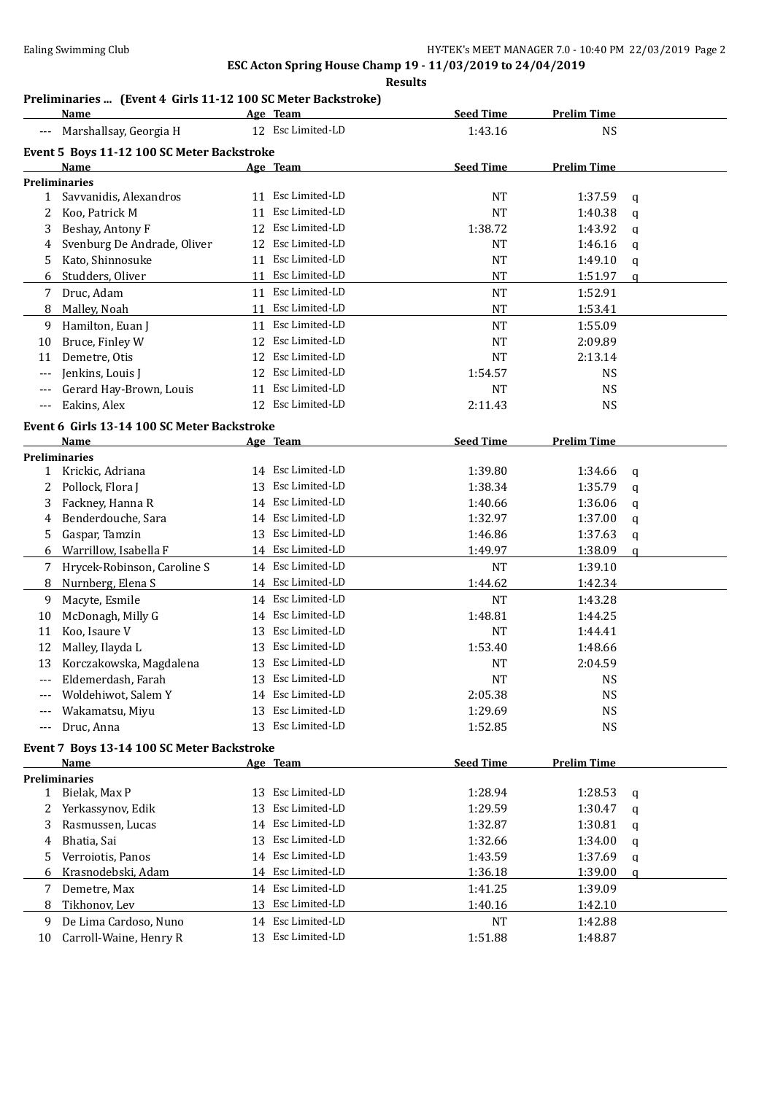### **Results**

### **Preliminaries ... (Event 4 Girls 11-12 100 SC Meter Backstroke)**

|              | Name                                                |    | Age Team          | <b>Seed Time</b> | <b>Prelim Time</b> |               |
|--------------|-----------------------------------------------------|----|-------------------|------------------|--------------------|---------------|
|              | Marshallsay, Georgia H                              |    | 12 Esc Limited-LD | 1:43.16          | <b>NS</b>          |               |
|              | Event 5 Boys 11-12 100 SC Meter Backstroke          |    |                   |                  |                    |               |
|              | Name                                                |    | Age Team          | <b>Seed Time</b> | <b>Prelim Time</b> |               |
|              | <b>Preliminaries</b>                                |    |                   |                  |                    |               |
| 1            | Savvanidis, Alexandros                              |    | 11 Esc Limited-LD | <b>NT</b>        | 1:37.59            | q             |
| 2            | Koo, Patrick M                                      | 11 | Esc Limited-LD    | <b>NT</b>        | 1:40.38            | q             |
| 3            | Beshay, Antony F                                    | 12 | Esc Limited-LD    | 1:38.72          | 1:43.92            | q             |
| 4            | Svenburg De Andrade, Oliver                         | 12 | Esc Limited-LD    | <b>NT</b>        | 1:46.16            | q             |
| 5            | Kato, Shinnosuke                                    | 11 | Esc Limited-LD    | <b>NT</b>        | 1:49.10            | q             |
| 6            | Studders, Oliver                                    | 11 | Esc Limited-LD    | <b>NT</b>        | 1:51.97            | a             |
| 7            | Druc, Adam                                          |    | 11 Esc Limited-LD | <b>NT</b>        | 1:52.91            |               |
| 8            | Malley, Noah                                        | 11 | Esc Limited-LD    | <b>NT</b>        | 1:53.41            |               |
| 9            | Hamilton, Euan J                                    | 11 | Esc Limited-LD    | <b>NT</b>        | 1:55.09            |               |
| 10           | Bruce, Finley W                                     | 12 | Esc Limited-LD    | <b>NT</b>        | 2:09.89            |               |
| 11           | Demetre, Otis                                       | 12 | Esc Limited-LD    | <b>NT</b>        | 2:13.14            |               |
| ---          | Jenkins, Louis J                                    | 12 | Esc Limited-LD    | 1:54.57          | <b>NS</b>          |               |
| ---          | Gerard Hay-Brown, Louis                             | 11 | Esc Limited-LD    | <b>NT</b>        | <b>NS</b>          |               |
| ---          | Eakins, Alex                                        |    | 12 Esc Limited-LD | 2:11.43          | <b>NS</b>          |               |
|              |                                                     |    |                   |                  |                    |               |
|              | Event 6 Girls 13-14 100 SC Meter Backstroke<br>Name |    |                   | <b>Seed Time</b> | <b>Prelim Time</b> |               |
|              | <b>Preliminaries</b>                                |    | Age Team          |                  |                    |               |
| 1            | Krickic, Adriana                                    |    | 14 Esc Limited-LD | 1:39.80          | 1:34.66            | q             |
| 2            | Pollock, Flora J                                    | 13 | Esc Limited-LD    | 1:38.34          | 1:35.79            | q             |
| 3            | Fackney, Hanna R                                    |    | 14 Esc Limited-LD | 1:40.66          | 1:36.06            | q             |
| 4            | Benderdouche, Sara                                  |    | 14 Esc Limited-LD | 1:32.97          | 1:37.00            | q             |
| 5            | Gaspar, Tamzin                                      | 13 | Esc Limited-LD    | 1:46.86          | 1:37.63            | q             |
| 6            | Warrillow, Isabella F                               |    | 14 Esc Limited-LD | 1:49.97          | 1:38.09            | $\mathfrak q$ |
| 7            | Hrycek-Robinson, Caroline S                         |    | 14 Esc Limited-LD | <b>NT</b>        | 1:39.10            |               |
| 8            | Nurnberg, Elena S                                   |    | 14 Esc Limited-LD | 1:44.62          | 1:42.34            |               |
| 9            | Macyte, Esmile                                      |    | 14 Esc Limited-LD | <b>NT</b>        | 1:43.28            |               |
| 10           | McDonagh, Milly G                                   | 14 | Esc Limited-LD    | 1:48.81          | 1:44.25            |               |
| 11           | Koo, Isaure V                                       | 13 | Esc Limited-LD    | <b>NT</b>        | 1:44.41            |               |
| 12           | Malley, Ilayda L                                    | 13 | Esc Limited-LD    | 1:53.40          | 1:48.66            |               |
| 13           | Korczakowska, Magdalena                             | 13 | Esc Limited-LD    | <b>NT</b>        | 2:04.59            |               |
| $---$        | Eldemerdash, Farah                                  |    | 13 Esc Limited-LD | <b>NT</b>        | <b>NS</b>          |               |
|              | Woldehiwot, Salem Y                                 |    | 14 Esc Limited-LD | 2:05.38          | <b>NS</b>          |               |
| $---$        | Wakamatsu, Miyu                                     |    | 13 Esc Limited-LD | 1:29.69          | <b>NS</b>          |               |
|              | Druc, Anna                                          |    | 13 Esc Limited-LD | 1:52.85          | <b>NS</b>          |               |
|              |                                                     |    |                   |                  |                    |               |
|              | Event 7 Boys 13-14 100 SC Meter Backstroke          |    |                   |                  |                    |               |
|              | Name                                                |    | Age Team          | <b>Seed Time</b> | <b>Prelim Time</b> |               |
|              | <b>Preliminaries</b><br>Bielak, Max P               |    | 13 Esc Limited-LD |                  |                    |               |
| $\mathbf{1}$ |                                                     |    | Esc Limited-LD    | 1:28.94          | 1:28.53            | q             |
| 2            | Yerkassynov, Edik                                   | 13 | 14 Esc Limited-LD | 1:29.59          | 1:30.47            | q             |
| 3            | Rasmussen, Lucas                                    |    | Esc Limited-LD    | 1:32.87          | 1:30.81            | q             |
| 4            | Bhatia, Sai                                         | 13 |                   | 1:32.66          | 1:34.00            | q             |
| 5            | Verroiotis, Panos                                   | 14 | Esc Limited-LD    | 1:43.59          | 1:37.69            | q             |
| 6            | Krasnodebski, Adam                                  |    | 14 Esc Limited-LD | 1:36.18          | 1:39.00            | q             |
| 7            | Demetre, Max                                        |    | 14 Esc Limited-LD | 1:41.25          | 1:39.09            |               |
| 8            | Tikhonov, Lev                                       |    | 13 Esc Limited-LD | 1:40.16          | 1:42.10            |               |
| 9            | De Lima Cardoso, Nuno                               |    | 14 Esc Limited-LD | NT               | 1:42.88            |               |
| 10           | Carroll-Waine, Henry R                              |    | 13 Esc Limited-LD | 1:51.88          | 1:48.87            |               |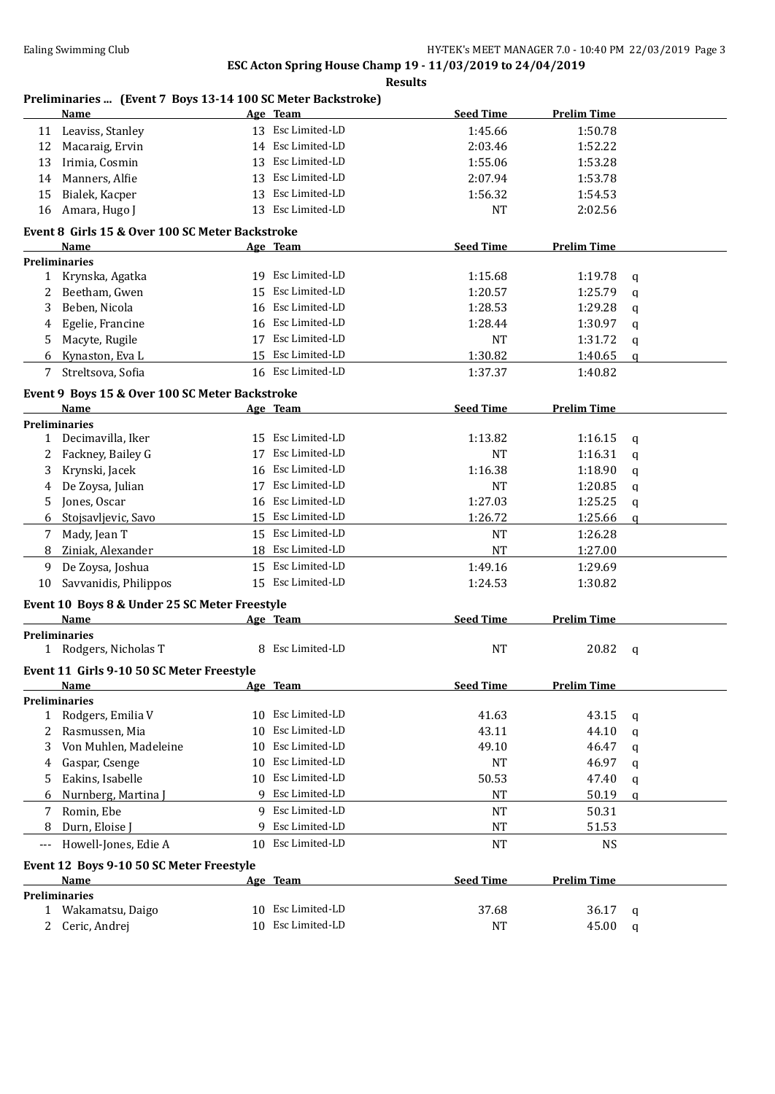### **Results**

### **Preliminaries ... (Event 7 Boys 13-14 100 SC Meter Backstroke)**

|     | <b>Name</b>                                     |    | Age Team          | <b>Seed Time</b> | <b>Prelim Time</b> |             |
|-----|-------------------------------------------------|----|-------------------|------------------|--------------------|-------------|
|     | 11 Leaviss, Stanley                             |    | 13 Esc Limited-LD | 1:45.66          | 1:50.78            |             |
| 12  | Macaraig, Ervin                                 |    | 14 Esc Limited-LD | 2:03.46          | 1:52.22            |             |
| 13  | Irimia, Cosmin                                  | 13 | Esc Limited-LD    | 1:55.06          | 1:53.28            |             |
| 14  | Manners, Alfie                                  | 13 | Esc Limited-LD    | 2:07.94          | 1:53.78            |             |
| 15  | Bialek, Kacper                                  | 13 | Esc Limited-LD    | 1:56.32          | 1:54.53            |             |
| 16  | Amara, Hugo J                                   |    | 13 Esc Limited-LD | <b>NT</b>        | 2:02.56            |             |
|     | Event 8 Girls 15 & Over 100 SC Meter Backstroke |    |                   |                  |                    |             |
|     | Name                                            |    | Age Team          | <b>Seed Time</b> | <b>Prelim Time</b> |             |
|     | <b>Preliminaries</b>                            |    |                   |                  |                    |             |
|     | 1 Krynska, Agatka                               |    | 19 Esc Limited-LD | 1:15.68          | 1:19.78            | q           |
| 2   | Beetham, Gwen                                   | 15 | Esc Limited-LD    | 1:20.57          | 1:25.79            | q           |
| 3   | Beben, Nicola                                   |    | 16 Esc Limited-LD | 1:28.53          | 1:29.28            | $\mathbf q$ |
| 4   | Egelie, Francine                                |    | 16 Esc Limited-LD | 1:28.44          | 1:30.97            | q           |
| 5.  | Macyte, Rugile                                  |    | 17 Esc Limited-LD | <b>NT</b>        | 1:31.72            | $\mathbf q$ |
| 6   | Kynaston, Eva L                                 |    | 15 Esc Limited-LD | 1:30.82          | 1:40.65            | q           |
| 7   | Streltsova, Sofia                               |    | 16 Esc Limited-LD | 1:37.37          | 1:40.82            |             |
|     | Event 9 Boys 15 & Over 100 SC Meter Backstroke  |    |                   |                  |                    |             |
|     | Name                                            |    | Age Team          | <b>Seed Time</b> | <b>Prelim Time</b> |             |
|     | <b>Preliminaries</b>                            |    |                   |                  |                    |             |
| 1   | Decimavilla, Iker                               | 15 | Esc Limited-LD    | 1:13.82          | 1:16.15            | q           |
| 2   | Fackney, Bailey G                               | 17 | Esc Limited-LD    | NT               | 1:16.31            | q           |
| 3   | Krynski, Jacek                                  | 16 | Esc Limited-LD    | 1:16.38          | 1:18.90            | q           |
| 4   | De Zoysa, Julian                                | 17 | Esc Limited-LD    | NT               | 1:20.85            | q           |
| 5   | Jones, Oscar                                    | 16 | Esc Limited-LD    | 1:27.03          | 1:25.25            | q           |
| 6   | Stojsavljevic, Savo                             | 15 | Esc Limited-LD    | 1:26.72          | 1:25.66            | q           |
| 7   | Mady, Jean T                                    |    | 15 Esc Limited-LD | <b>NT</b>        | 1:26.28            |             |
| 8   | Ziniak, Alexander                               |    | 18 Esc Limited-LD | <b>NT</b>        | 1:27.00            |             |
| 9   | De Zoysa, Joshua                                | 15 | Esc Limited-LD    | 1:49.16          | 1:29.69            |             |
| 10  | Savvanidis, Philippos                           |    | 15 Esc Limited-LD | 1:24.53          | 1:30.82            |             |
|     | Event 10 Boys 8 & Under 25 SC Meter Freestyle   |    |                   |                  |                    |             |
|     | Name                                            |    | Age Team          | <b>Seed Time</b> | <b>Prelim Time</b> |             |
|     | <b>Preliminaries</b>                            |    |                   |                  |                    |             |
|     | 1 Rodgers, Nicholas T                           |    | 8 Esc Limited-LD  | <b>NT</b>        | 20.82              | q           |
|     | Event 11 Girls 9-10 50 SC Meter Freestyle       |    |                   |                  |                    |             |
|     | Name                                            |    | Age Team          | <b>Seed Time</b> | <b>Prelim Time</b> |             |
|     | <b>Preliminaries</b>                            |    |                   |                  |                    |             |
| 1   | Rodgers, Emilia V                               | 10 | Esc Limited-LD    | 41.63            | 43.15              | q           |
| 2   | Rasmussen, Mia                                  | 10 | Esc Limited-LD    | 43.11            | 44.10              | q           |
| 3   | Von Muhlen, Madeleine                           | 10 | Esc Limited-LD    | 49.10            | 46.47              | q           |
| 4   | Gaspar, Csenge                                  | 10 | Esc Limited-LD    | <b>NT</b>        | 46.97              | q           |
| 5.  | Eakins, Isabelle                                | 10 | Esc Limited-LD    | 50.53            | 47.40              | q           |
| 6   | Nurnberg, Martina                               | q  | Esc Limited-LD    | NT               | 50.19              | q           |
| 7   | Romin, Ebe                                      |    | 9 Esc Limited-LD  | <b>NT</b>        | 50.31              |             |
| 8   | Durn, Eloise J                                  |    | Esc Limited-LD    | <b>NT</b>        | 51.53              |             |
| --- | Howell-Jones, Edie A                            |    | 10 Esc Limited-LD | <b>NT</b>        | <b>NS</b>          |             |
|     | Event 12 Boys 9-10 50 SC Meter Freestyle        |    |                   |                  |                    |             |
|     | Name                                            |    | Age Team          | <b>Seed Time</b> | <b>Prelim Time</b> |             |
|     | <b>Preliminaries</b>                            |    |                   |                  |                    |             |
|     | 1 Wakamatsu, Daigo                              | 10 | Esc Limited-LD    | 37.68            | 36.17              | q           |
|     | 2 Ceric, Andrej                                 |    | 10 Esc Limited-LD | NT               | 45.00              | $\mathbf q$ |
|     |                                                 |    |                   |                  |                    |             |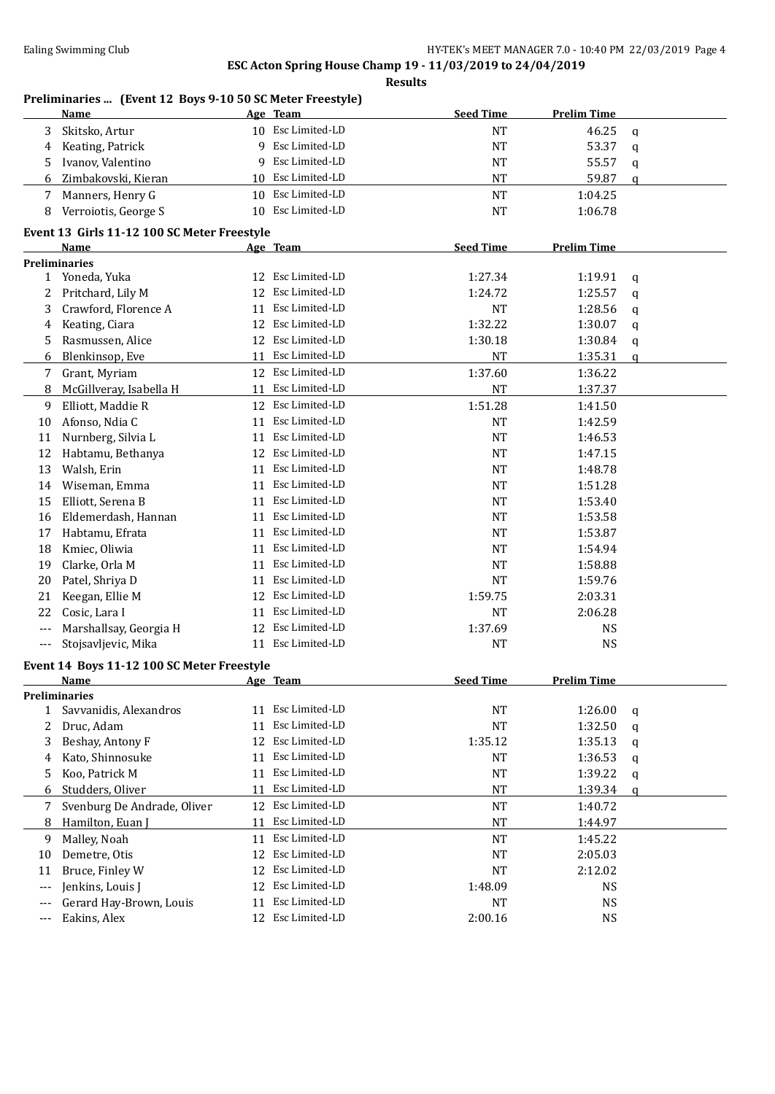### **Results**

### **Preliminaries ... (Event 12 Boys 9-10 50 SC Meter Freestyle)**

| <b>Seed Time</b><br><b>Prelim Time</b><br>Age Team<br>Name<br>10 Esc Limited-LD<br>Skitsko, Artur<br><b>NT</b><br>46.25<br>3<br>q<br>Esc Limited-LD<br>9<br><b>NT</b><br>53.37<br>Keating, Patrick<br>4<br>q<br>Esc Limited-LD<br>Ivanov, Valentino<br><b>NT</b><br>55.57<br>5<br>9<br>q<br><b>NT</b><br>10 Esc Limited-LD<br>59.87<br>Zimbakovski, Kieran<br>6<br>q<br>10 Esc Limited-LD<br>Manners, Henry G<br>$\rm{NT}$<br>1:04.25<br>7<br><b>NT</b><br>Verroiotis, George S<br>10 Esc Limited-LD<br>1:06.78<br>8<br>Event 13 Girls 11-12 100 SC Meter Freestyle<br><b>Seed Time</b><br><b>Prelim Time</b><br>Name<br>Age Team<br><b>Preliminaries</b><br>12 Esc Limited-LD<br>1 Yoneda, Yuka<br>1:27.34<br>1:19.91<br>q<br>12 Esc Limited-LD<br>Pritchard, Lily M<br>1:24.72<br>1:25.57<br>2<br>q<br>11 Esc Limited-LD<br>Crawford, Florence A<br>NT<br>1:28.56<br>3<br>q<br>12 Esc Limited-LD<br>Keating, Ciara<br>1:32.22<br>1:30.07<br>4<br>q<br>12 Esc Limited-LD<br>Rasmussen, Alice<br>1:30.18<br>1:30.84<br>5<br>$\mathsf{q}$<br>Blenkinsop, Eve<br>11 Esc Limited-LD<br><b>NT</b><br>1:35.31<br>6<br>$\mathbf q$<br>Esc Limited-LD<br>1:37.60<br>Grant, Myriam<br>12<br>1:36.22<br>7<br>11 Esc Limited-LD<br><b>NT</b><br>1:37.37<br>McGillveray, Isabella H<br>8<br>Elliott, Maddie R<br>12 Esc Limited-LD<br>1:51.28<br>1:41.50<br>9<br>Afonso, Ndia C<br>11 Esc Limited-LD<br><b>NT</b><br>1:42.59<br>10<br>11 Esc Limited-LD<br>$\rm{NT}$<br>Nurnberg, Silvia L<br>1:46.53<br>11<br>Esc Limited-LD<br>Habtamu, Bethanya<br><b>NT</b><br>1:47.15<br>12<br>12<br>Esc Limited-LD<br>13<br>Walsh, Erin<br><b>NT</b><br>1:48.78<br>11<br>Esc Limited-LD<br>Wiseman, Emma<br><b>NT</b><br>1:51.28<br>11<br>14<br>Esc Limited-LD<br>Elliott, Serena B<br><b>NT</b><br>1:53.40<br>15<br>11<br>Esc Limited-LD<br>$\rm{NT}$<br>Eldemerdash, Hannan<br>1:53.58<br>11<br>16<br>11 Esc Limited-LD<br>Habtamu, Efrata<br><b>NT</b><br>1:53.87<br>17<br>11 Esc Limited-LD<br>Kmiec, Oliwia<br><b>NT</b><br>1:54.94<br>18<br>11 Esc Limited-LD<br>Clarke, Orla M<br><b>NT</b><br>1:58.88<br>19<br>Esc Limited-LD<br>Patel, Shriya D<br><b>NT</b><br>1:59.76<br>20<br>11<br>Esc Limited-LD<br>Keegan, Ellie M<br>1:59.75<br>2:03.31<br>21<br>12<br>Cosic, Lara I<br>11 Esc Limited-LD<br>2:06.28<br>22<br>NT<br>12 Esc Limited-LD<br>Marshallsay, Georgia H<br>1:37.69<br>NS<br>$---$<br>11 Esc Limited-LD<br><b>NS</b><br>Stojsavljevic, Mika<br>NT<br>$---$<br>Event 14 Boys 11-12 100 SC Meter Freestyle<br><b>Seed Time</b><br><b>Prelim Time</b><br><b>Name</b><br><u>Age Team</u><br><b>Preliminaries</b><br>11 Esc Limited-LD<br>Savvanidis, Alexandros<br>1:26.00<br>NT<br>1<br>q<br>Esc Limited-LD<br>2<br>Druc, Adam<br>NT<br>1:32.50<br>11<br>q<br>Esc Limited-LD<br>Beshay, Antony F<br>12<br>1:35.12<br>1:35.13<br>3<br>q<br>Kato, Shinnosuke<br>Esc Limited-LD<br><b>NT</b><br>1:36.53<br>11<br>4<br>q<br>Esc Limited-LD<br>Koo, Patrick M<br><b>NT</b><br>1:39.22<br>11<br>5<br>q<br>Esc Limited-LD<br>Studders, Oliver<br><b>NT</b><br>1:39.34<br>11<br>6<br>q<br>Esc Limited-LD<br>Svenburg De Andrade, Oliver<br>$\rm{NT}$<br>12<br>1:40.72<br>7<br>Esc Limited-LD<br>Hamilton, Euan J<br><b>NT</b><br>1:44.97<br>11<br>8<br>11 Esc Limited-LD<br>Malley, Noah<br>NT<br>1:45.22<br>9<br>Esc Limited-LD<br>Demetre, Otis<br>2:05.03<br>12<br>NT<br>10<br>Esc Limited-LD<br>Bruce, Finley W<br>NT<br>2:12.02<br>12<br>11<br>Esc Limited-LD<br>Jenkins, Louis J<br>1:48.09<br><b>NS</b><br>12<br>$---$ |                                                                    |  |
|----------------------------------------------------------------------------------------------------------------------------------------------------------------------------------------------------------------------------------------------------------------------------------------------------------------------------------------------------------------------------------------------------------------------------------------------------------------------------------------------------------------------------------------------------------------------------------------------------------------------------------------------------------------------------------------------------------------------------------------------------------------------------------------------------------------------------------------------------------------------------------------------------------------------------------------------------------------------------------------------------------------------------------------------------------------------------------------------------------------------------------------------------------------------------------------------------------------------------------------------------------------------------------------------------------------------------------------------------------------------------------------------------------------------------------------------------------------------------------------------------------------------------------------------------------------------------------------------------------------------------------------------------------------------------------------------------------------------------------------------------------------------------------------------------------------------------------------------------------------------------------------------------------------------------------------------------------------------------------------------------------------------------------------------------------------------------------------------------------------------------------------------------------------------------------------------------------------------------------------------------------------------------------------------------------------------------------------------------------------------------------------------------------------------------------------------------------------------------------------------------------------------------------------------------------------------------------------------------------------------------------------------------------------------------------------------------------------------------------------------------------------------------------------------------------------------------------------------------------------------------------------------------------------------------------------------------------------------------------------------------------------------------------------------------------------------------------------------------------------------------------------------------------------------------------------------------------------------------------------------------------------------------------------------------------------------------------------------------------------------------------------------------------------------------------------------------------------------------------------------------------------------|--------------------------------------------------------------------|--|
|                                                                                                                                                                                                                                                                                                                                                                                                                                                                                                                                                                                                                                                                                                                                                                                                                                                                                                                                                                                                                                                                                                                                                                                                                                                                                                                                                                                                                                                                                                                                                                                                                                                                                                                                                                                                                                                                                                                                                                                                                                                                                                                                                                                                                                                                                                                                                                                                                                                                                                                                                                                                                                                                                                                                                                                                                                                                                                                                                                                                                                                                                                                                                                                                                                                                                                                                                                                                                                                                                                                      |                                                                    |  |
|                                                                                                                                                                                                                                                                                                                                                                                                                                                                                                                                                                                                                                                                                                                                                                                                                                                                                                                                                                                                                                                                                                                                                                                                                                                                                                                                                                                                                                                                                                                                                                                                                                                                                                                                                                                                                                                                                                                                                                                                                                                                                                                                                                                                                                                                                                                                                                                                                                                                                                                                                                                                                                                                                                                                                                                                                                                                                                                                                                                                                                                                                                                                                                                                                                                                                                                                                                                                                                                                                                                      |                                                                    |  |
|                                                                                                                                                                                                                                                                                                                                                                                                                                                                                                                                                                                                                                                                                                                                                                                                                                                                                                                                                                                                                                                                                                                                                                                                                                                                                                                                                                                                                                                                                                                                                                                                                                                                                                                                                                                                                                                                                                                                                                                                                                                                                                                                                                                                                                                                                                                                                                                                                                                                                                                                                                                                                                                                                                                                                                                                                                                                                                                                                                                                                                                                                                                                                                                                                                                                                                                                                                                                                                                                                                                      |                                                                    |  |
|                                                                                                                                                                                                                                                                                                                                                                                                                                                                                                                                                                                                                                                                                                                                                                                                                                                                                                                                                                                                                                                                                                                                                                                                                                                                                                                                                                                                                                                                                                                                                                                                                                                                                                                                                                                                                                                                                                                                                                                                                                                                                                                                                                                                                                                                                                                                                                                                                                                                                                                                                                                                                                                                                                                                                                                                                                                                                                                                                                                                                                                                                                                                                                                                                                                                                                                                                                                                                                                                                                                      |                                                                    |  |
|                                                                                                                                                                                                                                                                                                                                                                                                                                                                                                                                                                                                                                                                                                                                                                                                                                                                                                                                                                                                                                                                                                                                                                                                                                                                                                                                                                                                                                                                                                                                                                                                                                                                                                                                                                                                                                                                                                                                                                                                                                                                                                                                                                                                                                                                                                                                                                                                                                                                                                                                                                                                                                                                                                                                                                                                                                                                                                                                                                                                                                                                                                                                                                                                                                                                                                                                                                                                                                                                                                                      |                                                                    |  |
|                                                                                                                                                                                                                                                                                                                                                                                                                                                                                                                                                                                                                                                                                                                                                                                                                                                                                                                                                                                                                                                                                                                                                                                                                                                                                                                                                                                                                                                                                                                                                                                                                                                                                                                                                                                                                                                                                                                                                                                                                                                                                                                                                                                                                                                                                                                                                                                                                                                                                                                                                                                                                                                                                                                                                                                                                                                                                                                                                                                                                                                                                                                                                                                                                                                                                                                                                                                                                                                                                                                      |                                                                    |  |
|                                                                                                                                                                                                                                                                                                                                                                                                                                                                                                                                                                                                                                                                                                                                                                                                                                                                                                                                                                                                                                                                                                                                                                                                                                                                                                                                                                                                                                                                                                                                                                                                                                                                                                                                                                                                                                                                                                                                                                                                                                                                                                                                                                                                                                                                                                                                                                                                                                                                                                                                                                                                                                                                                                                                                                                                                                                                                                                                                                                                                                                                                                                                                                                                                                                                                                                                                                                                                                                                                                                      |                                                                    |  |
|                                                                                                                                                                                                                                                                                                                                                                                                                                                                                                                                                                                                                                                                                                                                                                                                                                                                                                                                                                                                                                                                                                                                                                                                                                                                                                                                                                                                                                                                                                                                                                                                                                                                                                                                                                                                                                                                                                                                                                                                                                                                                                                                                                                                                                                                                                                                                                                                                                                                                                                                                                                                                                                                                                                                                                                                                                                                                                                                                                                                                                                                                                                                                                                                                                                                                                                                                                                                                                                                                                                      |                                                                    |  |
|                                                                                                                                                                                                                                                                                                                                                                                                                                                                                                                                                                                                                                                                                                                                                                                                                                                                                                                                                                                                                                                                                                                                                                                                                                                                                                                                                                                                                                                                                                                                                                                                                                                                                                                                                                                                                                                                                                                                                                                                                                                                                                                                                                                                                                                                                                                                                                                                                                                                                                                                                                                                                                                                                                                                                                                                                                                                                                                                                                                                                                                                                                                                                                                                                                                                                                                                                                                                                                                                                                                      |                                                                    |  |
|                                                                                                                                                                                                                                                                                                                                                                                                                                                                                                                                                                                                                                                                                                                                                                                                                                                                                                                                                                                                                                                                                                                                                                                                                                                                                                                                                                                                                                                                                                                                                                                                                                                                                                                                                                                                                                                                                                                                                                                                                                                                                                                                                                                                                                                                                                                                                                                                                                                                                                                                                                                                                                                                                                                                                                                                                                                                                                                                                                                                                                                                                                                                                                                                                                                                                                                                                                                                                                                                                                                      |                                                                    |  |
|                                                                                                                                                                                                                                                                                                                                                                                                                                                                                                                                                                                                                                                                                                                                                                                                                                                                                                                                                                                                                                                                                                                                                                                                                                                                                                                                                                                                                                                                                                                                                                                                                                                                                                                                                                                                                                                                                                                                                                                                                                                                                                                                                                                                                                                                                                                                                                                                                                                                                                                                                                                                                                                                                                                                                                                                                                                                                                                                                                                                                                                                                                                                                                                                                                                                                                                                                                                                                                                                                                                      |                                                                    |  |
|                                                                                                                                                                                                                                                                                                                                                                                                                                                                                                                                                                                                                                                                                                                                                                                                                                                                                                                                                                                                                                                                                                                                                                                                                                                                                                                                                                                                                                                                                                                                                                                                                                                                                                                                                                                                                                                                                                                                                                                                                                                                                                                                                                                                                                                                                                                                                                                                                                                                                                                                                                                                                                                                                                                                                                                                                                                                                                                                                                                                                                                                                                                                                                                                                                                                                                                                                                                                                                                                                                                      |                                                                    |  |
|                                                                                                                                                                                                                                                                                                                                                                                                                                                                                                                                                                                                                                                                                                                                                                                                                                                                                                                                                                                                                                                                                                                                                                                                                                                                                                                                                                                                                                                                                                                                                                                                                                                                                                                                                                                                                                                                                                                                                                                                                                                                                                                                                                                                                                                                                                                                                                                                                                                                                                                                                                                                                                                                                                                                                                                                                                                                                                                                                                                                                                                                                                                                                                                                                                                                                                                                                                                                                                                                                                                      |                                                                    |  |
|                                                                                                                                                                                                                                                                                                                                                                                                                                                                                                                                                                                                                                                                                                                                                                                                                                                                                                                                                                                                                                                                                                                                                                                                                                                                                                                                                                                                                                                                                                                                                                                                                                                                                                                                                                                                                                                                                                                                                                                                                                                                                                                                                                                                                                                                                                                                                                                                                                                                                                                                                                                                                                                                                                                                                                                                                                                                                                                                                                                                                                                                                                                                                                                                                                                                                                                                                                                                                                                                                                                      |                                                                    |  |
|                                                                                                                                                                                                                                                                                                                                                                                                                                                                                                                                                                                                                                                                                                                                                                                                                                                                                                                                                                                                                                                                                                                                                                                                                                                                                                                                                                                                                                                                                                                                                                                                                                                                                                                                                                                                                                                                                                                                                                                                                                                                                                                                                                                                                                                                                                                                                                                                                                                                                                                                                                                                                                                                                                                                                                                                                                                                                                                                                                                                                                                                                                                                                                                                                                                                                                                                                                                                                                                                                                                      |                                                                    |  |
|                                                                                                                                                                                                                                                                                                                                                                                                                                                                                                                                                                                                                                                                                                                                                                                                                                                                                                                                                                                                                                                                                                                                                                                                                                                                                                                                                                                                                                                                                                                                                                                                                                                                                                                                                                                                                                                                                                                                                                                                                                                                                                                                                                                                                                                                                                                                                                                                                                                                                                                                                                                                                                                                                                                                                                                                                                                                                                                                                                                                                                                                                                                                                                                                                                                                                                                                                                                                                                                                                                                      |                                                                    |  |
|                                                                                                                                                                                                                                                                                                                                                                                                                                                                                                                                                                                                                                                                                                                                                                                                                                                                                                                                                                                                                                                                                                                                                                                                                                                                                                                                                                                                                                                                                                                                                                                                                                                                                                                                                                                                                                                                                                                                                                                                                                                                                                                                                                                                                                                                                                                                                                                                                                                                                                                                                                                                                                                                                                                                                                                                                                                                                                                                                                                                                                                                                                                                                                                                                                                                                                                                                                                                                                                                                                                      |                                                                    |  |
|                                                                                                                                                                                                                                                                                                                                                                                                                                                                                                                                                                                                                                                                                                                                                                                                                                                                                                                                                                                                                                                                                                                                                                                                                                                                                                                                                                                                                                                                                                                                                                                                                                                                                                                                                                                                                                                                                                                                                                                                                                                                                                                                                                                                                                                                                                                                                                                                                                                                                                                                                                                                                                                                                                                                                                                                                                                                                                                                                                                                                                                                                                                                                                                                                                                                                                                                                                                                                                                                                                                      |                                                                    |  |
|                                                                                                                                                                                                                                                                                                                                                                                                                                                                                                                                                                                                                                                                                                                                                                                                                                                                                                                                                                                                                                                                                                                                                                                                                                                                                                                                                                                                                                                                                                                                                                                                                                                                                                                                                                                                                                                                                                                                                                                                                                                                                                                                                                                                                                                                                                                                                                                                                                                                                                                                                                                                                                                                                                                                                                                                                                                                                                                                                                                                                                                                                                                                                                                                                                                                                                                                                                                                                                                                                                                      |                                                                    |  |
|                                                                                                                                                                                                                                                                                                                                                                                                                                                                                                                                                                                                                                                                                                                                                                                                                                                                                                                                                                                                                                                                                                                                                                                                                                                                                                                                                                                                                                                                                                                                                                                                                                                                                                                                                                                                                                                                                                                                                                                                                                                                                                                                                                                                                                                                                                                                                                                                                                                                                                                                                                                                                                                                                                                                                                                                                                                                                                                                                                                                                                                                                                                                                                                                                                                                                                                                                                                                                                                                                                                      |                                                                    |  |
|                                                                                                                                                                                                                                                                                                                                                                                                                                                                                                                                                                                                                                                                                                                                                                                                                                                                                                                                                                                                                                                                                                                                                                                                                                                                                                                                                                                                                                                                                                                                                                                                                                                                                                                                                                                                                                                                                                                                                                                                                                                                                                                                                                                                                                                                                                                                                                                                                                                                                                                                                                                                                                                                                                                                                                                                                                                                                                                                                                                                                                                                                                                                                                                                                                                                                                                                                                                                                                                                                                                      |                                                                    |  |
|                                                                                                                                                                                                                                                                                                                                                                                                                                                                                                                                                                                                                                                                                                                                                                                                                                                                                                                                                                                                                                                                                                                                                                                                                                                                                                                                                                                                                                                                                                                                                                                                                                                                                                                                                                                                                                                                                                                                                                                                                                                                                                                                                                                                                                                                                                                                                                                                                                                                                                                                                                                                                                                                                                                                                                                                                                                                                                                                                                                                                                                                                                                                                                                                                                                                                                                                                                                                                                                                                                                      |                                                                    |  |
|                                                                                                                                                                                                                                                                                                                                                                                                                                                                                                                                                                                                                                                                                                                                                                                                                                                                                                                                                                                                                                                                                                                                                                                                                                                                                                                                                                                                                                                                                                                                                                                                                                                                                                                                                                                                                                                                                                                                                                                                                                                                                                                                                                                                                                                                                                                                                                                                                                                                                                                                                                                                                                                                                                                                                                                                                                                                                                                                                                                                                                                                                                                                                                                                                                                                                                                                                                                                                                                                                                                      |                                                                    |  |
|                                                                                                                                                                                                                                                                                                                                                                                                                                                                                                                                                                                                                                                                                                                                                                                                                                                                                                                                                                                                                                                                                                                                                                                                                                                                                                                                                                                                                                                                                                                                                                                                                                                                                                                                                                                                                                                                                                                                                                                                                                                                                                                                                                                                                                                                                                                                                                                                                                                                                                                                                                                                                                                                                                                                                                                                                                                                                                                                                                                                                                                                                                                                                                                                                                                                                                                                                                                                                                                                                                                      |                                                                    |  |
|                                                                                                                                                                                                                                                                                                                                                                                                                                                                                                                                                                                                                                                                                                                                                                                                                                                                                                                                                                                                                                                                                                                                                                                                                                                                                                                                                                                                                                                                                                                                                                                                                                                                                                                                                                                                                                                                                                                                                                                                                                                                                                                                                                                                                                                                                                                                                                                                                                                                                                                                                                                                                                                                                                                                                                                                                                                                                                                                                                                                                                                                                                                                                                                                                                                                                                                                                                                                                                                                                                                      |                                                                    |  |
|                                                                                                                                                                                                                                                                                                                                                                                                                                                                                                                                                                                                                                                                                                                                                                                                                                                                                                                                                                                                                                                                                                                                                                                                                                                                                                                                                                                                                                                                                                                                                                                                                                                                                                                                                                                                                                                                                                                                                                                                                                                                                                                                                                                                                                                                                                                                                                                                                                                                                                                                                                                                                                                                                                                                                                                                                                                                                                                                                                                                                                                                                                                                                                                                                                                                                                                                                                                                                                                                                                                      |                                                                    |  |
|                                                                                                                                                                                                                                                                                                                                                                                                                                                                                                                                                                                                                                                                                                                                                                                                                                                                                                                                                                                                                                                                                                                                                                                                                                                                                                                                                                                                                                                                                                                                                                                                                                                                                                                                                                                                                                                                                                                                                                                                                                                                                                                                                                                                                                                                                                                                                                                                                                                                                                                                                                                                                                                                                                                                                                                                                                                                                                                                                                                                                                                                                                                                                                                                                                                                                                                                                                                                                                                                                                                      |                                                                    |  |
|                                                                                                                                                                                                                                                                                                                                                                                                                                                                                                                                                                                                                                                                                                                                                                                                                                                                                                                                                                                                                                                                                                                                                                                                                                                                                                                                                                                                                                                                                                                                                                                                                                                                                                                                                                                                                                                                                                                                                                                                                                                                                                                                                                                                                                                                                                                                                                                                                                                                                                                                                                                                                                                                                                                                                                                                                                                                                                                                                                                                                                                                                                                                                                                                                                                                                                                                                                                                                                                                                                                      |                                                                    |  |
|                                                                                                                                                                                                                                                                                                                                                                                                                                                                                                                                                                                                                                                                                                                                                                                                                                                                                                                                                                                                                                                                                                                                                                                                                                                                                                                                                                                                                                                                                                                                                                                                                                                                                                                                                                                                                                                                                                                                                                                                                                                                                                                                                                                                                                                                                                                                                                                                                                                                                                                                                                                                                                                                                                                                                                                                                                                                                                                                                                                                                                                                                                                                                                                                                                                                                                                                                                                                                                                                                                                      |                                                                    |  |
|                                                                                                                                                                                                                                                                                                                                                                                                                                                                                                                                                                                                                                                                                                                                                                                                                                                                                                                                                                                                                                                                                                                                                                                                                                                                                                                                                                                                                                                                                                                                                                                                                                                                                                                                                                                                                                                                                                                                                                                                                                                                                                                                                                                                                                                                                                                                                                                                                                                                                                                                                                                                                                                                                                                                                                                                                                                                                                                                                                                                                                                                                                                                                                                                                                                                                                                                                                                                                                                                                                                      |                                                                    |  |
|                                                                                                                                                                                                                                                                                                                                                                                                                                                                                                                                                                                                                                                                                                                                                                                                                                                                                                                                                                                                                                                                                                                                                                                                                                                                                                                                                                                                                                                                                                                                                                                                                                                                                                                                                                                                                                                                                                                                                                                                                                                                                                                                                                                                                                                                                                                                                                                                                                                                                                                                                                                                                                                                                                                                                                                                                                                                                                                                                                                                                                                                                                                                                                                                                                                                                                                                                                                                                                                                                                                      |                                                                    |  |
|                                                                                                                                                                                                                                                                                                                                                                                                                                                                                                                                                                                                                                                                                                                                                                                                                                                                                                                                                                                                                                                                                                                                                                                                                                                                                                                                                                                                                                                                                                                                                                                                                                                                                                                                                                                                                                                                                                                                                                                                                                                                                                                                                                                                                                                                                                                                                                                                                                                                                                                                                                                                                                                                                                                                                                                                                                                                                                                                                                                                                                                                                                                                                                                                                                                                                                                                                                                                                                                                                                                      |                                                                    |  |
|                                                                                                                                                                                                                                                                                                                                                                                                                                                                                                                                                                                                                                                                                                                                                                                                                                                                                                                                                                                                                                                                                                                                                                                                                                                                                                                                                                                                                                                                                                                                                                                                                                                                                                                                                                                                                                                                                                                                                                                                                                                                                                                                                                                                                                                                                                                                                                                                                                                                                                                                                                                                                                                                                                                                                                                                                                                                                                                                                                                                                                                                                                                                                                                                                                                                                                                                                                                                                                                                                                                      |                                                                    |  |
|                                                                                                                                                                                                                                                                                                                                                                                                                                                                                                                                                                                                                                                                                                                                                                                                                                                                                                                                                                                                                                                                                                                                                                                                                                                                                                                                                                                                                                                                                                                                                                                                                                                                                                                                                                                                                                                                                                                                                                                                                                                                                                                                                                                                                                                                                                                                                                                                                                                                                                                                                                                                                                                                                                                                                                                                                                                                                                                                                                                                                                                                                                                                                                                                                                                                                                                                                                                                                                                                                                                      |                                                                    |  |
|                                                                                                                                                                                                                                                                                                                                                                                                                                                                                                                                                                                                                                                                                                                                                                                                                                                                                                                                                                                                                                                                                                                                                                                                                                                                                                                                                                                                                                                                                                                                                                                                                                                                                                                                                                                                                                                                                                                                                                                                                                                                                                                                                                                                                                                                                                                                                                                                                                                                                                                                                                                                                                                                                                                                                                                                                                                                                                                                                                                                                                                                                                                                                                                                                                                                                                                                                                                                                                                                                                                      |                                                                    |  |
|                                                                                                                                                                                                                                                                                                                                                                                                                                                                                                                                                                                                                                                                                                                                                                                                                                                                                                                                                                                                                                                                                                                                                                                                                                                                                                                                                                                                                                                                                                                                                                                                                                                                                                                                                                                                                                                                                                                                                                                                                                                                                                                                                                                                                                                                                                                                                                                                                                                                                                                                                                                                                                                                                                                                                                                                                                                                                                                                                                                                                                                                                                                                                                                                                                                                                                                                                                                                                                                                                                                      |                                                                    |  |
|                                                                                                                                                                                                                                                                                                                                                                                                                                                                                                                                                                                                                                                                                                                                                                                                                                                                                                                                                                                                                                                                                                                                                                                                                                                                                                                                                                                                                                                                                                                                                                                                                                                                                                                                                                                                                                                                                                                                                                                                                                                                                                                                                                                                                                                                                                                                                                                                                                                                                                                                                                                                                                                                                                                                                                                                                                                                                                                                                                                                                                                                                                                                                                                                                                                                                                                                                                                                                                                                                                                      |                                                                    |  |
|                                                                                                                                                                                                                                                                                                                                                                                                                                                                                                                                                                                                                                                                                                                                                                                                                                                                                                                                                                                                                                                                                                                                                                                                                                                                                                                                                                                                                                                                                                                                                                                                                                                                                                                                                                                                                                                                                                                                                                                                                                                                                                                                                                                                                                                                                                                                                                                                                                                                                                                                                                                                                                                                                                                                                                                                                                                                                                                                                                                                                                                                                                                                                                                                                                                                                                                                                                                                                                                                                                                      |                                                                    |  |
|                                                                                                                                                                                                                                                                                                                                                                                                                                                                                                                                                                                                                                                                                                                                                                                                                                                                                                                                                                                                                                                                                                                                                                                                                                                                                                                                                                                                                                                                                                                                                                                                                                                                                                                                                                                                                                                                                                                                                                                                                                                                                                                                                                                                                                                                                                                                                                                                                                                                                                                                                                                                                                                                                                                                                                                                                                                                                                                                                                                                                                                                                                                                                                                                                                                                                                                                                                                                                                                                                                                      |                                                                    |  |
|                                                                                                                                                                                                                                                                                                                                                                                                                                                                                                                                                                                                                                                                                                                                                                                                                                                                                                                                                                                                                                                                                                                                                                                                                                                                                                                                                                                                                                                                                                                                                                                                                                                                                                                                                                                                                                                                                                                                                                                                                                                                                                                                                                                                                                                                                                                                                                                                                                                                                                                                                                                                                                                                                                                                                                                                                                                                                                                                                                                                                                                                                                                                                                                                                                                                                                                                                                                                                                                                                                                      |                                                                    |  |
|                                                                                                                                                                                                                                                                                                                                                                                                                                                                                                                                                                                                                                                                                                                                                                                                                                                                                                                                                                                                                                                                                                                                                                                                                                                                                                                                                                                                                                                                                                                                                                                                                                                                                                                                                                                                                                                                                                                                                                                                                                                                                                                                                                                                                                                                                                                                                                                                                                                                                                                                                                                                                                                                                                                                                                                                                                                                                                                                                                                                                                                                                                                                                                                                                                                                                                                                                                                                                                                                                                                      |                                                                    |  |
|                                                                                                                                                                                                                                                                                                                                                                                                                                                                                                                                                                                                                                                                                                                                                                                                                                                                                                                                                                                                                                                                                                                                                                                                                                                                                                                                                                                                                                                                                                                                                                                                                                                                                                                                                                                                                                                                                                                                                                                                                                                                                                                                                                                                                                                                                                                                                                                                                                                                                                                                                                                                                                                                                                                                                                                                                                                                                                                                                                                                                                                                                                                                                                                                                                                                                                                                                                                                                                                                                                                      |                                                                    |  |
|                                                                                                                                                                                                                                                                                                                                                                                                                                                                                                                                                                                                                                                                                                                                                                                                                                                                                                                                                                                                                                                                                                                                                                                                                                                                                                                                                                                                                                                                                                                                                                                                                                                                                                                                                                                                                                                                                                                                                                                                                                                                                                                                                                                                                                                                                                                                                                                                                                                                                                                                                                                                                                                                                                                                                                                                                                                                                                                                                                                                                                                                                                                                                                                                                                                                                                                                                                                                                                                                                                                      |                                                                    |  |
|                                                                                                                                                                                                                                                                                                                                                                                                                                                                                                                                                                                                                                                                                                                                                                                                                                                                                                                                                                                                                                                                                                                                                                                                                                                                                                                                                                                                                                                                                                                                                                                                                                                                                                                                                                                                                                                                                                                                                                                                                                                                                                                                                                                                                                                                                                                                                                                                                                                                                                                                                                                                                                                                                                                                                                                                                                                                                                                                                                                                                                                                                                                                                                                                                                                                                                                                                                                                                                                                                                                      |                                                                    |  |
|                                                                                                                                                                                                                                                                                                                                                                                                                                                                                                                                                                                                                                                                                                                                                                                                                                                                                                                                                                                                                                                                                                                                                                                                                                                                                                                                                                                                                                                                                                                                                                                                                                                                                                                                                                                                                                                                                                                                                                                                                                                                                                                                                                                                                                                                                                                                                                                                                                                                                                                                                                                                                                                                                                                                                                                                                                                                                                                                                                                                                                                                                                                                                                                                                                                                                                                                                                                                                                                                                                                      |                                                                    |  |
|                                                                                                                                                                                                                                                                                                                                                                                                                                                                                                                                                                                                                                                                                                                                                                                                                                                                                                                                                                                                                                                                                                                                                                                                                                                                                                                                                                                                                                                                                                                                                                                                                                                                                                                                                                                                                                                                                                                                                                                                                                                                                                                                                                                                                                                                                                                                                                                                                                                                                                                                                                                                                                                                                                                                                                                                                                                                                                                                                                                                                                                                                                                                                                                                                                                                                                                                                                                                                                                                                                                      |                                                                    |  |
|                                                                                                                                                                                                                                                                                                                                                                                                                                                                                                                                                                                                                                                                                                                                                                                                                                                                                                                                                                                                                                                                                                                                                                                                                                                                                                                                                                                                                                                                                                                                                                                                                                                                                                                                                                                                                                                                                                                                                                                                                                                                                                                                                                                                                                                                                                                                                                                                                                                                                                                                                                                                                                                                                                                                                                                                                                                                                                                                                                                                                                                                                                                                                                                                                                                                                                                                                                                                                                                                                                                      |                                                                    |  |
|                                                                                                                                                                                                                                                                                                                                                                                                                                                                                                                                                                                                                                                                                                                                                                                                                                                                                                                                                                                                                                                                                                                                                                                                                                                                                                                                                                                                                                                                                                                                                                                                                                                                                                                                                                                                                                                                                                                                                                                                                                                                                                                                                                                                                                                                                                                                                                                                                                                                                                                                                                                                                                                                                                                                                                                                                                                                                                                                                                                                                                                                                                                                                                                                                                                                                                                                                                                                                                                                                                                      |                                                                    |  |
|                                                                                                                                                                                                                                                                                                                                                                                                                                                                                                                                                                                                                                                                                                                                                                                                                                                                                                                                                                                                                                                                                                                                                                                                                                                                                                                                                                                                                                                                                                                                                                                                                                                                                                                                                                                                                                                                                                                                                                                                                                                                                                                                                                                                                                                                                                                                                                                                                                                                                                                                                                                                                                                                                                                                                                                                                                                                                                                                                                                                                                                                                                                                                                                                                                                                                                                                                                                                                                                                                                                      |                                                                    |  |
| Esc Limited-LD<br>Gerard Hay-Brown, Louis<br>NT<br><b>NS</b><br>11                                                                                                                                                                                                                                                                                                                                                                                                                                                                                                                                                                                                                                                                                                                                                                                                                                                                                                                                                                                                                                                                                                                                                                                                                                                                                                                                                                                                                                                                                                                                                                                                                                                                                                                                                                                                                                                                                                                                                                                                                                                                                                                                                                                                                                                                                                                                                                                                                                                                                                                                                                                                                                                                                                                                                                                                                                                                                                                                                                                                                                                                                                                                                                                                                                                                                                                                                                                                                                                   |                                                                    |  |
|                                                                                                                                                                                                                                                                                                                                                                                                                                                                                                                                                                                                                                                                                                                                                                                                                                                                                                                                                                                                                                                                                                                                                                                                                                                                                                                                                                                                                                                                                                                                                                                                                                                                                                                                                                                                                                                                                                                                                                                                                                                                                                                                                                                                                                                                                                                                                                                                                                                                                                                                                                                                                                                                                                                                                                                                                                                                                                                                                                                                                                                                                                                                                                                                                                                                                                                                                                                                                                                                                                                      | 12 Esc Limited-LD<br>Eakins, Alex<br>2:00.16<br><b>NS</b><br>$---$ |  |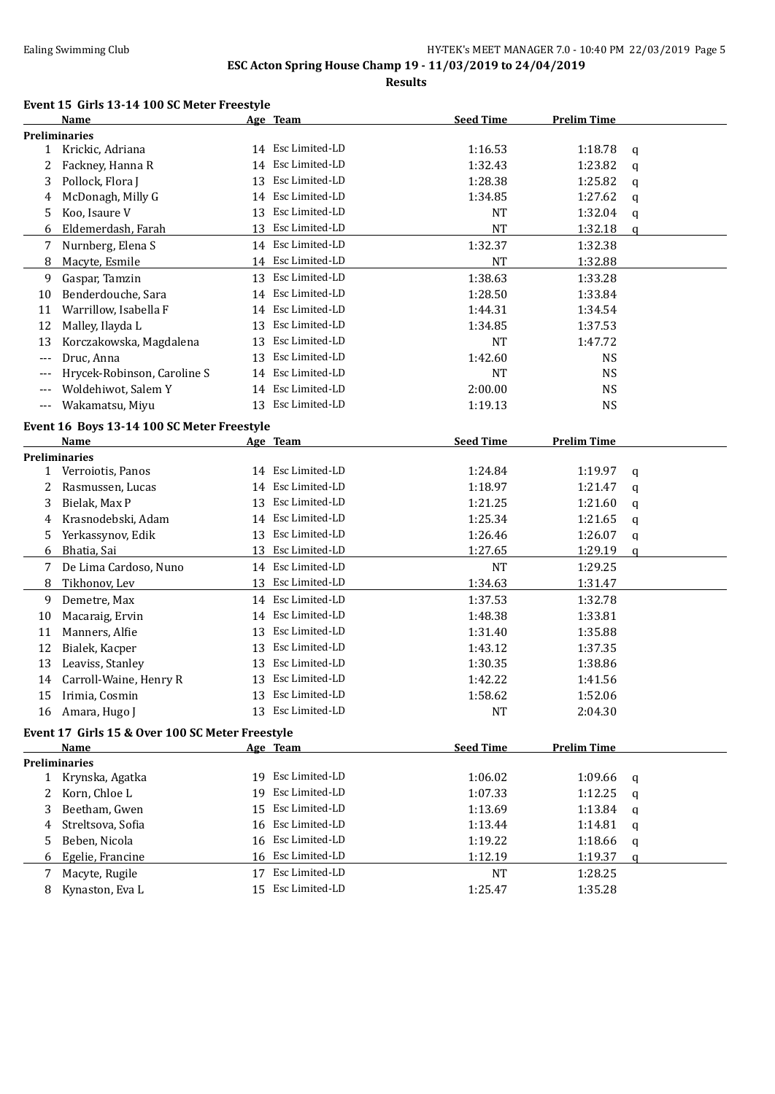**Results**

### **Event 15 Girls 13-14 100 SC Meter Freestyle**

| <b>Preliminaries</b><br>14 Esc Limited-LD<br>1 Krickic, Adriana<br>1:16.53<br>1:18.78<br>q<br>14 Esc Limited-LD<br>Fackney, Hanna R<br>1:32.43<br>1:23.82<br>2<br>q<br>Esc Limited-LD<br>Pollock, Flora J<br>1:28.38<br>1:25.82<br>3<br>13<br>q<br>Esc Limited-LD<br>McDonagh, Milly G<br>1:27.62<br>1:34.85<br>4<br>14<br>q<br>Koo, Isaure V<br>13 Esc Limited-LD<br>1:32.04<br>NT<br>5<br>q<br>Esc Limited-LD<br>Eldemerdash, Farah<br><b>NT</b><br>1:32.18<br>13<br>6<br>$\mathfrak q$<br>14 Esc Limited-LD<br>Nurnberg, Elena S<br>1:32.37<br>1:32.38<br>7<br>14 Esc Limited-LD<br>Macyte, Esmile<br><b>NT</b><br>1:32.88<br>8<br>Esc Limited-LD<br>1:38.63<br>Gaspar, Tamzin<br>1:33.28<br>9<br>13<br>Benderdouche, Sara<br>Esc Limited-LD<br>1:28.50<br>1:33.84<br>10<br>14<br>Warrillow, Isabella F<br>Esc Limited-LD<br>1:44.31<br>11<br>1:34.54<br>14<br>Esc Limited-LD<br>12<br>Malley, Ilayda L<br>1:37.53<br>13<br>1:34.85<br>Esc Limited-LD<br>13<br>Korczakowska, Magdalena<br><b>NT</b><br>13<br>1:47.72<br>Druc, Anna<br>Esc Limited-LD<br>1:42.60<br><b>NS</b><br>13<br>$---$<br>Hrycek-Robinson, Caroline S<br>Esc Limited-LD<br><b>NS</b><br>NT<br>14<br>$---$<br>Esc Limited-LD<br>Woldehiwot, Salem Y<br>2:00.00<br><b>NS</b><br>14<br>$---$<br>13 Esc Limited-LD<br>Wakamatsu, Miyu<br>1:19.13<br><b>NS</b><br>$---$<br>Event 16 Boys 13-14 100 SC Meter Freestyle<br><b>Seed Time</b><br><b>Prelim Time</b><br>Name<br>Age Team<br><b>Preliminaries</b><br>14 Esc Limited-LD<br>1 Verroiotis, Panos<br>1:24.84<br>1:19.97<br>q<br>Esc Limited-LD<br>Rasmussen, Lucas<br>1:18.97<br>1:21.47<br>2<br>14<br>q<br>Esc Limited-LD<br>Bielak, Max P<br>1:21.25<br>1:21.60<br>3<br>13<br>q<br>Esc Limited-LD<br>Krasnodebski, Adam<br>1:25.34<br>1:21.65<br>4<br>14<br>q<br>Esc Limited-LD<br>Yerkassynov, Edik<br>1:26.46<br>1:26.07<br>5.<br>13<br>q<br>Esc Limited-LD<br>1:27.65<br>1:29.19<br>6<br>Bhatia, Sai<br>13<br>q<br>14 Esc Limited-LD<br>De Lima Cardoso, Nuno<br><b>NT</b><br>1:29.25<br>7<br>13 Esc Limited-LD<br>8<br>Tikhonov, Lev<br>1:34.63<br>1:31.47<br>Esc Limited-LD<br>9<br>Demetre, Max<br>1:37.53<br>1:32.78<br>14<br>Esc Limited-LD<br>Macaraig, Ervin<br>1:48.38<br>1:33.81<br>10<br>14<br>Esc Limited-LD<br>Manners, Alfie<br>1:35.88<br>11<br>13<br>1:31.40<br>Esc Limited-LD<br>12<br>Bialek, Kacper<br>1:43.12<br>1:37.35<br>13<br>13<br>Leaviss, Stanley<br>Esc Limited-LD<br>1:30.35<br>1:38.86<br>13<br>Esc Limited-LD<br>Carroll-Waine, Henry R<br>1:42.22<br>14<br>13<br>1:41.56<br>15<br>Irimia, Cosmin<br>13 Esc Limited-LD<br>1:58.62<br>1:52.06<br>13 Esc Limited-LD<br>16 Amara, Hugo J<br><b>NT</b><br>2:04.30<br>Event 17 Girls 15 & Over 100 SC Meter Freestyle<br><b>Seed Time</b><br><b>Prelim Time</b><br>Name<br>Age Team<br><b>Preliminaries</b><br>Esc Limited-LD<br>1:06.02<br>1:09.66<br>Krynska, Agatka<br>$\mathbf{1}$<br>19<br>q<br>Esc Limited-LD<br>Korn, Chloe L<br>1:12.25<br>19<br>1:07.33<br>2<br>q<br>Beetham, Gwen<br>Esc Limited-LD<br>15<br>1:13.69<br>1:13.84<br>3<br>q<br>Esc Limited-LD<br>Streltsova, Sofia<br>16<br>1:13.44<br>1:14.81<br>4<br>q<br>Esc Limited-LD<br>Beben, Nicola<br>16<br>1:19.22<br>1:18.66<br>5<br>q<br>16 Esc Limited-LD<br>Egelie, Francine<br>1:12.19<br>1:19.37<br>6<br>q<br>Esc Limited-LD<br>Macyte, Rugile<br>1:28.25<br>17<br>NT<br>7<br>15 Esc Limited-LD<br>Kynaston, Eva L<br>1:25.47<br>1:35.28<br>8 | Name | Age Team | <b>Seed Time</b> | <b>Prelim Time</b> |  |
|------------------------------------------------------------------------------------------------------------------------------------------------------------------------------------------------------------------------------------------------------------------------------------------------------------------------------------------------------------------------------------------------------------------------------------------------------------------------------------------------------------------------------------------------------------------------------------------------------------------------------------------------------------------------------------------------------------------------------------------------------------------------------------------------------------------------------------------------------------------------------------------------------------------------------------------------------------------------------------------------------------------------------------------------------------------------------------------------------------------------------------------------------------------------------------------------------------------------------------------------------------------------------------------------------------------------------------------------------------------------------------------------------------------------------------------------------------------------------------------------------------------------------------------------------------------------------------------------------------------------------------------------------------------------------------------------------------------------------------------------------------------------------------------------------------------------------------------------------------------------------------------------------------------------------------------------------------------------------------------------------------------------------------------------------------------------------------------------------------------------------------------------------------------------------------------------------------------------------------------------------------------------------------------------------------------------------------------------------------------------------------------------------------------------------------------------------------------------------------------------------------------------------------------------------------------------------------------------------------------------------------------------------------------------------------------------------------------------------------------------------------------------------------------------------------------------------------------------------------------------------------------------------------------------------------------------------------------------------------------------------------------------------------------------------------------------------------------------------------------------------------------------------------------------------------------------------------------------------------------------------------------------------------------------------------------------------------------------------------------------------------------------------------------------------|------|----------|------------------|--------------------|--|
|                                                                                                                                                                                                                                                                                                                                                                                                                                                                                                                                                                                                                                                                                                                                                                                                                                                                                                                                                                                                                                                                                                                                                                                                                                                                                                                                                                                                                                                                                                                                                                                                                                                                                                                                                                                                                                                                                                                                                                                                                                                                                                                                                                                                                                                                                                                                                                                                                                                                                                                                                                                                                                                                                                                                                                                                                                                                                                                                                                                                                                                                                                                                                                                                                                                                                                                                                                                                                              |      |          |                  |                    |  |
|                                                                                                                                                                                                                                                                                                                                                                                                                                                                                                                                                                                                                                                                                                                                                                                                                                                                                                                                                                                                                                                                                                                                                                                                                                                                                                                                                                                                                                                                                                                                                                                                                                                                                                                                                                                                                                                                                                                                                                                                                                                                                                                                                                                                                                                                                                                                                                                                                                                                                                                                                                                                                                                                                                                                                                                                                                                                                                                                                                                                                                                                                                                                                                                                                                                                                                                                                                                                                              |      |          |                  |                    |  |
|                                                                                                                                                                                                                                                                                                                                                                                                                                                                                                                                                                                                                                                                                                                                                                                                                                                                                                                                                                                                                                                                                                                                                                                                                                                                                                                                                                                                                                                                                                                                                                                                                                                                                                                                                                                                                                                                                                                                                                                                                                                                                                                                                                                                                                                                                                                                                                                                                                                                                                                                                                                                                                                                                                                                                                                                                                                                                                                                                                                                                                                                                                                                                                                                                                                                                                                                                                                                                              |      |          |                  |                    |  |
|                                                                                                                                                                                                                                                                                                                                                                                                                                                                                                                                                                                                                                                                                                                                                                                                                                                                                                                                                                                                                                                                                                                                                                                                                                                                                                                                                                                                                                                                                                                                                                                                                                                                                                                                                                                                                                                                                                                                                                                                                                                                                                                                                                                                                                                                                                                                                                                                                                                                                                                                                                                                                                                                                                                                                                                                                                                                                                                                                                                                                                                                                                                                                                                                                                                                                                                                                                                                                              |      |          |                  |                    |  |
|                                                                                                                                                                                                                                                                                                                                                                                                                                                                                                                                                                                                                                                                                                                                                                                                                                                                                                                                                                                                                                                                                                                                                                                                                                                                                                                                                                                                                                                                                                                                                                                                                                                                                                                                                                                                                                                                                                                                                                                                                                                                                                                                                                                                                                                                                                                                                                                                                                                                                                                                                                                                                                                                                                                                                                                                                                                                                                                                                                                                                                                                                                                                                                                                                                                                                                                                                                                                                              |      |          |                  |                    |  |
|                                                                                                                                                                                                                                                                                                                                                                                                                                                                                                                                                                                                                                                                                                                                                                                                                                                                                                                                                                                                                                                                                                                                                                                                                                                                                                                                                                                                                                                                                                                                                                                                                                                                                                                                                                                                                                                                                                                                                                                                                                                                                                                                                                                                                                                                                                                                                                                                                                                                                                                                                                                                                                                                                                                                                                                                                                                                                                                                                                                                                                                                                                                                                                                                                                                                                                                                                                                                                              |      |          |                  |                    |  |
|                                                                                                                                                                                                                                                                                                                                                                                                                                                                                                                                                                                                                                                                                                                                                                                                                                                                                                                                                                                                                                                                                                                                                                                                                                                                                                                                                                                                                                                                                                                                                                                                                                                                                                                                                                                                                                                                                                                                                                                                                                                                                                                                                                                                                                                                                                                                                                                                                                                                                                                                                                                                                                                                                                                                                                                                                                                                                                                                                                                                                                                                                                                                                                                                                                                                                                                                                                                                                              |      |          |                  |                    |  |
|                                                                                                                                                                                                                                                                                                                                                                                                                                                                                                                                                                                                                                                                                                                                                                                                                                                                                                                                                                                                                                                                                                                                                                                                                                                                                                                                                                                                                                                                                                                                                                                                                                                                                                                                                                                                                                                                                                                                                                                                                                                                                                                                                                                                                                                                                                                                                                                                                                                                                                                                                                                                                                                                                                                                                                                                                                                                                                                                                                                                                                                                                                                                                                                                                                                                                                                                                                                                                              |      |          |                  |                    |  |
|                                                                                                                                                                                                                                                                                                                                                                                                                                                                                                                                                                                                                                                                                                                                                                                                                                                                                                                                                                                                                                                                                                                                                                                                                                                                                                                                                                                                                                                                                                                                                                                                                                                                                                                                                                                                                                                                                                                                                                                                                                                                                                                                                                                                                                                                                                                                                                                                                                                                                                                                                                                                                                                                                                                                                                                                                                                                                                                                                                                                                                                                                                                                                                                                                                                                                                                                                                                                                              |      |          |                  |                    |  |
|                                                                                                                                                                                                                                                                                                                                                                                                                                                                                                                                                                                                                                                                                                                                                                                                                                                                                                                                                                                                                                                                                                                                                                                                                                                                                                                                                                                                                                                                                                                                                                                                                                                                                                                                                                                                                                                                                                                                                                                                                                                                                                                                                                                                                                                                                                                                                                                                                                                                                                                                                                                                                                                                                                                                                                                                                                                                                                                                                                                                                                                                                                                                                                                                                                                                                                                                                                                                                              |      |          |                  |                    |  |
|                                                                                                                                                                                                                                                                                                                                                                                                                                                                                                                                                                                                                                                                                                                                                                                                                                                                                                                                                                                                                                                                                                                                                                                                                                                                                                                                                                                                                                                                                                                                                                                                                                                                                                                                                                                                                                                                                                                                                                                                                                                                                                                                                                                                                                                                                                                                                                                                                                                                                                                                                                                                                                                                                                                                                                                                                                                                                                                                                                                                                                                                                                                                                                                                                                                                                                                                                                                                                              |      |          |                  |                    |  |
|                                                                                                                                                                                                                                                                                                                                                                                                                                                                                                                                                                                                                                                                                                                                                                                                                                                                                                                                                                                                                                                                                                                                                                                                                                                                                                                                                                                                                                                                                                                                                                                                                                                                                                                                                                                                                                                                                                                                                                                                                                                                                                                                                                                                                                                                                                                                                                                                                                                                                                                                                                                                                                                                                                                                                                                                                                                                                                                                                                                                                                                                                                                                                                                                                                                                                                                                                                                                                              |      |          |                  |                    |  |
|                                                                                                                                                                                                                                                                                                                                                                                                                                                                                                                                                                                                                                                                                                                                                                                                                                                                                                                                                                                                                                                                                                                                                                                                                                                                                                                                                                                                                                                                                                                                                                                                                                                                                                                                                                                                                                                                                                                                                                                                                                                                                                                                                                                                                                                                                                                                                                                                                                                                                                                                                                                                                                                                                                                                                                                                                                                                                                                                                                                                                                                                                                                                                                                                                                                                                                                                                                                                                              |      |          |                  |                    |  |
|                                                                                                                                                                                                                                                                                                                                                                                                                                                                                                                                                                                                                                                                                                                                                                                                                                                                                                                                                                                                                                                                                                                                                                                                                                                                                                                                                                                                                                                                                                                                                                                                                                                                                                                                                                                                                                                                                                                                                                                                                                                                                                                                                                                                                                                                                                                                                                                                                                                                                                                                                                                                                                                                                                                                                                                                                                                                                                                                                                                                                                                                                                                                                                                                                                                                                                                                                                                                                              |      |          |                  |                    |  |
|                                                                                                                                                                                                                                                                                                                                                                                                                                                                                                                                                                                                                                                                                                                                                                                                                                                                                                                                                                                                                                                                                                                                                                                                                                                                                                                                                                                                                                                                                                                                                                                                                                                                                                                                                                                                                                                                                                                                                                                                                                                                                                                                                                                                                                                                                                                                                                                                                                                                                                                                                                                                                                                                                                                                                                                                                                                                                                                                                                                                                                                                                                                                                                                                                                                                                                                                                                                                                              |      |          |                  |                    |  |
|                                                                                                                                                                                                                                                                                                                                                                                                                                                                                                                                                                                                                                                                                                                                                                                                                                                                                                                                                                                                                                                                                                                                                                                                                                                                                                                                                                                                                                                                                                                                                                                                                                                                                                                                                                                                                                                                                                                                                                                                                                                                                                                                                                                                                                                                                                                                                                                                                                                                                                                                                                                                                                                                                                                                                                                                                                                                                                                                                                                                                                                                                                                                                                                                                                                                                                                                                                                                                              |      |          |                  |                    |  |
|                                                                                                                                                                                                                                                                                                                                                                                                                                                                                                                                                                                                                                                                                                                                                                                                                                                                                                                                                                                                                                                                                                                                                                                                                                                                                                                                                                                                                                                                                                                                                                                                                                                                                                                                                                                                                                                                                                                                                                                                                                                                                                                                                                                                                                                                                                                                                                                                                                                                                                                                                                                                                                                                                                                                                                                                                                                                                                                                                                                                                                                                                                                                                                                                                                                                                                                                                                                                                              |      |          |                  |                    |  |
|                                                                                                                                                                                                                                                                                                                                                                                                                                                                                                                                                                                                                                                                                                                                                                                                                                                                                                                                                                                                                                                                                                                                                                                                                                                                                                                                                                                                                                                                                                                                                                                                                                                                                                                                                                                                                                                                                                                                                                                                                                                                                                                                                                                                                                                                                                                                                                                                                                                                                                                                                                                                                                                                                                                                                                                                                                                                                                                                                                                                                                                                                                                                                                                                                                                                                                                                                                                                                              |      |          |                  |                    |  |
|                                                                                                                                                                                                                                                                                                                                                                                                                                                                                                                                                                                                                                                                                                                                                                                                                                                                                                                                                                                                                                                                                                                                                                                                                                                                                                                                                                                                                                                                                                                                                                                                                                                                                                                                                                                                                                                                                                                                                                                                                                                                                                                                                                                                                                                                                                                                                                                                                                                                                                                                                                                                                                                                                                                                                                                                                                                                                                                                                                                                                                                                                                                                                                                                                                                                                                                                                                                                                              |      |          |                  |                    |  |
|                                                                                                                                                                                                                                                                                                                                                                                                                                                                                                                                                                                                                                                                                                                                                                                                                                                                                                                                                                                                                                                                                                                                                                                                                                                                                                                                                                                                                                                                                                                                                                                                                                                                                                                                                                                                                                                                                                                                                                                                                                                                                                                                                                                                                                                                                                                                                                                                                                                                                                                                                                                                                                                                                                                                                                                                                                                                                                                                                                                                                                                                                                                                                                                                                                                                                                                                                                                                                              |      |          |                  |                    |  |
|                                                                                                                                                                                                                                                                                                                                                                                                                                                                                                                                                                                                                                                                                                                                                                                                                                                                                                                                                                                                                                                                                                                                                                                                                                                                                                                                                                                                                                                                                                                                                                                                                                                                                                                                                                                                                                                                                                                                                                                                                                                                                                                                                                                                                                                                                                                                                                                                                                                                                                                                                                                                                                                                                                                                                                                                                                                                                                                                                                                                                                                                                                                                                                                                                                                                                                                                                                                                                              |      |          |                  |                    |  |
|                                                                                                                                                                                                                                                                                                                                                                                                                                                                                                                                                                                                                                                                                                                                                                                                                                                                                                                                                                                                                                                                                                                                                                                                                                                                                                                                                                                                                                                                                                                                                                                                                                                                                                                                                                                                                                                                                                                                                                                                                                                                                                                                                                                                                                                                                                                                                                                                                                                                                                                                                                                                                                                                                                                                                                                                                                                                                                                                                                                                                                                                                                                                                                                                                                                                                                                                                                                                                              |      |          |                  |                    |  |
|                                                                                                                                                                                                                                                                                                                                                                                                                                                                                                                                                                                                                                                                                                                                                                                                                                                                                                                                                                                                                                                                                                                                                                                                                                                                                                                                                                                                                                                                                                                                                                                                                                                                                                                                                                                                                                                                                                                                                                                                                                                                                                                                                                                                                                                                                                                                                                                                                                                                                                                                                                                                                                                                                                                                                                                                                                                                                                                                                                                                                                                                                                                                                                                                                                                                                                                                                                                                                              |      |          |                  |                    |  |
|                                                                                                                                                                                                                                                                                                                                                                                                                                                                                                                                                                                                                                                                                                                                                                                                                                                                                                                                                                                                                                                                                                                                                                                                                                                                                                                                                                                                                                                                                                                                                                                                                                                                                                                                                                                                                                                                                                                                                                                                                                                                                                                                                                                                                                                                                                                                                                                                                                                                                                                                                                                                                                                                                                                                                                                                                                                                                                                                                                                                                                                                                                                                                                                                                                                                                                                                                                                                                              |      |          |                  |                    |  |
|                                                                                                                                                                                                                                                                                                                                                                                                                                                                                                                                                                                                                                                                                                                                                                                                                                                                                                                                                                                                                                                                                                                                                                                                                                                                                                                                                                                                                                                                                                                                                                                                                                                                                                                                                                                                                                                                                                                                                                                                                                                                                                                                                                                                                                                                                                                                                                                                                                                                                                                                                                                                                                                                                                                                                                                                                                                                                                                                                                                                                                                                                                                                                                                                                                                                                                                                                                                                                              |      |          |                  |                    |  |
|                                                                                                                                                                                                                                                                                                                                                                                                                                                                                                                                                                                                                                                                                                                                                                                                                                                                                                                                                                                                                                                                                                                                                                                                                                                                                                                                                                                                                                                                                                                                                                                                                                                                                                                                                                                                                                                                                                                                                                                                                                                                                                                                                                                                                                                                                                                                                                                                                                                                                                                                                                                                                                                                                                                                                                                                                                                                                                                                                                                                                                                                                                                                                                                                                                                                                                                                                                                                                              |      |          |                  |                    |  |
|                                                                                                                                                                                                                                                                                                                                                                                                                                                                                                                                                                                                                                                                                                                                                                                                                                                                                                                                                                                                                                                                                                                                                                                                                                                                                                                                                                                                                                                                                                                                                                                                                                                                                                                                                                                                                                                                                                                                                                                                                                                                                                                                                                                                                                                                                                                                                                                                                                                                                                                                                                                                                                                                                                                                                                                                                                                                                                                                                                                                                                                                                                                                                                                                                                                                                                                                                                                                                              |      |          |                  |                    |  |
|                                                                                                                                                                                                                                                                                                                                                                                                                                                                                                                                                                                                                                                                                                                                                                                                                                                                                                                                                                                                                                                                                                                                                                                                                                                                                                                                                                                                                                                                                                                                                                                                                                                                                                                                                                                                                                                                                                                                                                                                                                                                                                                                                                                                                                                                                                                                                                                                                                                                                                                                                                                                                                                                                                                                                                                                                                                                                                                                                                                                                                                                                                                                                                                                                                                                                                                                                                                                                              |      |          |                  |                    |  |
|                                                                                                                                                                                                                                                                                                                                                                                                                                                                                                                                                                                                                                                                                                                                                                                                                                                                                                                                                                                                                                                                                                                                                                                                                                                                                                                                                                                                                                                                                                                                                                                                                                                                                                                                                                                                                                                                                                                                                                                                                                                                                                                                                                                                                                                                                                                                                                                                                                                                                                                                                                                                                                                                                                                                                                                                                                                                                                                                                                                                                                                                                                                                                                                                                                                                                                                                                                                                                              |      |          |                  |                    |  |
|                                                                                                                                                                                                                                                                                                                                                                                                                                                                                                                                                                                                                                                                                                                                                                                                                                                                                                                                                                                                                                                                                                                                                                                                                                                                                                                                                                                                                                                                                                                                                                                                                                                                                                                                                                                                                                                                                                                                                                                                                                                                                                                                                                                                                                                                                                                                                                                                                                                                                                                                                                                                                                                                                                                                                                                                                                                                                                                                                                                                                                                                                                                                                                                                                                                                                                                                                                                                                              |      |          |                  |                    |  |
|                                                                                                                                                                                                                                                                                                                                                                                                                                                                                                                                                                                                                                                                                                                                                                                                                                                                                                                                                                                                                                                                                                                                                                                                                                                                                                                                                                                                                                                                                                                                                                                                                                                                                                                                                                                                                                                                                                                                                                                                                                                                                                                                                                                                                                                                                                                                                                                                                                                                                                                                                                                                                                                                                                                                                                                                                                                                                                                                                                                                                                                                                                                                                                                                                                                                                                                                                                                                                              |      |          |                  |                    |  |
|                                                                                                                                                                                                                                                                                                                                                                                                                                                                                                                                                                                                                                                                                                                                                                                                                                                                                                                                                                                                                                                                                                                                                                                                                                                                                                                                                                                                                                                                                                                                                                                                                                                                                                                                                                                                                                                                                                                                                                                                                                                                                                                                                                                                                                                                                                                                                                                                                                                                                                                                                                                                                                                                                                                                                                                                                                                                                                                                                                                                                                                                                                                                                                                                                                                                                                                                                                                                                              |      |          |                  |                    |  |
|                                                                                                                                                                                                                                                                                                                                                                                                                                                                                                                                                                                                                                                                                                                                                                                                                                                                                                                                                                                                                                                                                                                                                                                                                                                                                                                                                                                                                                                                                                                                                                                                                                                                                                                                                                                                                                                                                                                                                                                                                                                                                                                                                                                                                                                                                                                                                                                                                                                                                                                                                                                                                                                                                                                                                                                                                                                                                                                                                                                                                                                                                                                                                                                                                                                                                                                                                                                                                              |      |          |                  |                    |  |
|                                                                                                                                                                                                                                                                                                                                                                                                                                                                                                                                                                                                                                                                                                                                                                                                                                                                                                                                                                                                                                                                                                                                                                                                                                                                                                                                                                                                                                                                                                                                                                                                                                                                                                                                                                                                                                                                                                                                                                                                                                                                                                                                                                                                                                                                                                                                                                                                                                                                                                                                                                                                                                                                                                                                                                                                                                                                                                                                                                                                                                                                                                                                                                                                                                                                                                                                                                                                                              |      |          |                  |                    |  |
|                                                                                                                                                                                                                                                                                                                                                                                                                                                                                                                                                                                                                                                                                                                                                                                                                                                                                                                                                                                                                                                                                                                                                                                                                                                                                                                                                                                                                                                                                                                                                                                                                                                                                                                                                                                                                                                                                                                                                                                                                                                                                                                                                                                                                                                                                                                                                                                                                                                                                                                                                                                                                                                                                                                                                                                                                                                                                                                                                                                                                                                                                                                                                                                                                                                                                                                                                                                                                              |      |          |                  |                    |  |
|                                                                                                                                                                                                                                                                                                                                                                                                                                                                                                                                                                                                                                                                                                                                                                                                                                                                                                                                                                                                                                                                                                                                                                                                                                                                                                                                                                                                                                                                                                                                                                                                                                                                                                                                                                                                                                                                                                                                                                                                                                                                                                                                                                                                                                                                                                                                                                                                                                                                                                                                                                                                                                                                                                                                                                                                                                                                                                                                                                                                                                                                                                                                                                                                                                                                                                                                                                                                                              |      |          |                  |                    |  |
|                                                                                                                                                                                                                                                                                                                                                                                                                                                                                                                                                                                                                                                                                                                                                                                                                                                                                                                                                                                                                                                                                                                                                                                                                                                                                                                                                                                                                                                                                                                                                                                                                                                                                                                                                                                                                                                                                                                                                                                                                                                                                                                                                                                                                                                                                                                                                                                                                                                                                                                                                                                                                                                                                                                                                                                                                                                                                                                                                                                                                                                                                                                                                                                                                                                                                                                                                                                                                              |      |          |                  |                    |  |
|                                                                                                                                                                                                                                                                                                                                                                                                                                                                                                                                                                                                                                                                                                                                                                                                                                                                                                                                                                                                                                                                                                                                                                                                                                                                                                                                                                                                                                                                                                                                                                                                                                                                                                                                                                                                                                                                                                                                                                                                                                                                                                                                                                                                                                                                                                                                                                                                                                                                                                                                                                                                                                                                                                                                                                                                                                                                                                                                                                                                                                                                                                                                                                                                                                                                                                                                                                                                                              |      |          |                  |                    |  |
|                                                                                                                                                                                                                                                                                                                                                                                                                                                                                                                                                                                                                                                                                                                                                                                                                                                                                                                                                                                                                                                                                                                                                                                                                                                                                                                                                                                                                                                                                                                                                                                                                                                                                                                                                                                                                                                                                                                                                                                                                                                                                                                                                                                                                                                                                                                                                                                                                                                                                                                                                                                                                                                                                                                                                                                                                                                                                                                                                                                                                                                                                                                                                                                                                                                                                                                                                                                                                              |      |          |                  |                    |  |
|                                                                                                                                                                                                                                                                                                                                                                                                                                                                                                                                                                                                                                                                                                                                                                                                                                                                                                                                                                                                                                                                                                                                                                                                                                                                                                                                                                                                                                                                                                                                                                                                                                                                                                                                                                                                                                                                                                                                                                                                                                                                                                                                                                                                                                                                                                                                                                                                                                                                                                                                                                                                                                                                                                                                                                                                                                                                                                                                                                                                                                                                                                                                                                                                                                                                                                                                                                                                                              |      |          |                  |                    |  |
|                                                                                                                                                                                                                                                                                                                                                                                                                                                                                                                                                                                                                                                                                                                                                                                                                                                                                                                                                                                                                                                                                                                                                                                                                                                                                                                                                                                                                                                                                                                                                                                                                                                                                                                                                                                                                                                                                                                                                                                                                                                                                                                                                                                                                                                                                                                                                                                                                                                                                                                                                                                                                                                                                                                                                                                                                                                                                                                                                                                                                                                                                                                                                                                                                                                                                                                                                                                                                              |      |          |                  |                    |  |
|                                                                                                                                                                                                                                                                                                                                                                                                                                                                                                                                                                                                                                                                                                                                                                                                                                                                                                                                                                                                                                                                                                                                                                                                                                                                                                                                                                                                                                                                                                                                                                                                                                                                                                                                                                                                                                                                                                                                                                                                                                                                                                                                                                                                                                                                                                                                                                                                                                                                                                                                                                                                                                                                                                                                                                                                                                                                                                                                                                                                                                                                                                                                                                                                                                                                                                                                                                                                                              |      |          |                  |                    |  |
|                                                                                                                                                                                                                                                                                                                                                                                                                                                                                                                                                                                                                                                                                                                                                                                                                                                                                                                                                                                                                                                                                                                                                                                                                                                                                                                                                                                                                                                                                                                                                                                                                                                                                                                                                                                                                                                                                                                                                                                                                                                                                                                                                                                                                                                                                                                                                                                                                                                                                                                                                                                                                                                                                                                                                                                                                                                                                                                                                                                                                                                                                                                                                                                                                                                                                                                                                                                                                              |      |          |                  |                    |  |
|                                                                                                                                                                                                                                                                                                                                                                                                                                                                                                                                                                                                                                                                                                                                                                                                                                                                                                                                                                                                                                                                                                                                                                                                                                                                                                                                                                                                                                                                                                                                                                                                                                                                                                                                                                                                                                                                                                                                                                                                                                                                                                                                                                                                                                                                                                                                                                                                                                                                                                                                                                                                                                                                                                                                                                                                                                                                                                                                                                                                                                                                                                                                                                                                                                                                                                                                                                                                                              |      |          |                  |                    |  |
|                                                                                                                                                                                                                                                                                                                                                                                                                                                                                                                                                                                                                                                                                                                                                                                                                                                                                                                                                                                                                                                                                                                                                                                                                                                                                                                                                                                                                                                                                                                                                                                                                                                                                                                                                                                                                                                                                                                                                                                                                                                                                                                                                                                                                                                                                                                                                                                                                                                                                                                                                                                                                                                                                                                                                                                                                                                                                                                                                                                                                                                                                                                                                                                                                                                                                                                                                                                                                              |      |          |                  |                    |  |
|                                                                                                                                                                                                                                                                                                                                                                                                                                                                                                                                                                                                                                                                                                                                                                                                                                                                                                                                                                                                                                                                                                                                                                                                                                                                                                                                                                                                                                                                                                                                                                                                                                                                                                                                                                                                                                                                                                                                                                                                                                                                                                                                                                                                                                                                                                                                                                                                                                                                                                                                                                                                                                                                                                                                                                                                                                                                                                                                                                                                                                                                                                                                                                                                                                                                                                                                                                                                                              |      |          |                  |                    |  |
|                                                                                                                                                                                                                                                                                                                                                                                                                                                                                                                                                                                                                                                                                                                                                                                                                                                                                                                                                                                                                                                                                                                                                                                                                                                                                                                                                                                                                                                                                                                                                                                                                                                                                                                                                                                                                                                                                                                                                                                                                                                                                                                                                                                                                                                                                                                                                                                                                                                                                                                                                                                                                                                                                                                                                                                                                                                                                                                                                                                                                                                                                                                                                                                                                                                                                                                                                                                                                              |      |          |                  |                    |  |
|                                                                                                                                                                                                                                                                                                                                                                                                                                                                                                                                                                                                                                                                                                                                                                                                                                                                                                                                                                                                                                                                                                                                                                                                                                                                                                                                                                                                                                                                                                                                                                                                                                                                                                                                                                                                                                                                                                                                                                                                                                                                                                                                                                                                                                                                                                                                                                                                                                                                                                                                                                                                                                                                                                                                                                                                                                                                                                                                                                                                                                                                                                                                                                                                                                                                                                                                                                                                                              |      |          |                  |                    |  |
|                                                                                                                                                                                                                                                                                                                                                                                                                                                                                                                                                                                                                                                                                                                                                                                                                                                                                                                                                                                                                                                                                                                                                                                                                                                                                                                                                                                                                                                                                                                                                                                                                                                                                                                                                                                                                                                                                                                                                                                                                                                                                                                                                                                                                                                                                                                                                                                                                                                                                                                                                                                                                                                                                                                                                                                                                                                                                                                                                                                                                                                                                                                                                                                                                                                                                                                                                                                                                              |      |          |                  |                    |  |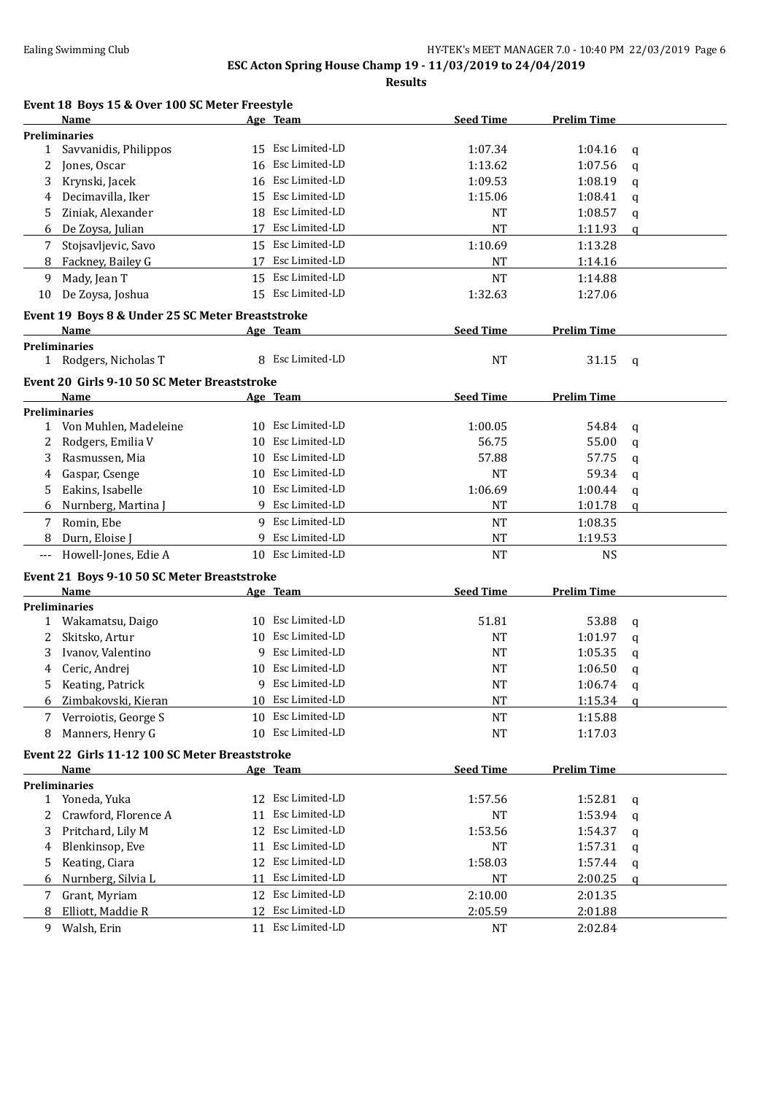**Results**

| Event 18 Boys 15 & Over 100 SC Meter Freestyle |          |
|------------------------------------------------|----------|
| Name                                           | Age Team |

|              | <u>Name</u>                                          |    | Age Team                            | <b>Seed Time</b> | <b>Prelim Time</b> |              |
|--------------|------------------------------------------------------|----|-------------------------------------|------------------|--------------------|--------------|
|              | <b>Preliminaries</b>                                 |    |                                     |                  |                    |              |
| $\mathbf{1}$ | Savvanidis, Philippos                                |    | 15 Esc Limited-LD                   | 1:07.34          | 1:04.16            | $\mathbf{q}$ |
| 2            | Jones, Oscar                                         | 16 | Esc Limited-LD                      | 1:13.62          | 1:07.56            | q            |
| 3            | Krynski, Jacek                                       | 16 | Esc Limited-LD                      | 1:09.53          | 1:08.19            | q            |
| 4            | Decimavilla, Iker                                    | 15 | Esc Limited-LD                      | 1:15.06          | 1:08.41            | q            |
| 5            | Ziniak, Alexander                                    | 18 | Esc Limited-LD                      | NT               | 1:08.57            | q            |
| 6            | De Zoysa, Julian                                     | 17 | Esc Limited-LD                      | NT               | 1:11.93            | a            |
| 7            | Stojsavljevic, Savo                                  |    | 15 Esc Limited-LD                   | 1:10.69          | 1:13.28            |              |
| 8            | Fackney, Bailey G                                    |    | 17 Esc Limited-LD                   | NT               | 1:14.16            |              |
| 9            | Mady, Jean T                                         |    | 15 Esc Limited-LD                   | <b>NT</b>        | 1:14.88            |              |
| 10           | De Zoysa, Joshua                                     |    | 15 Esc Limited-LD                   | 1:32.63          | 1:27.06            |              |
|              | Event 19 Boys 8 & Under 25 SC Meter Breaststroke     |    |                                     |                  |                    |              |
|              | Name                                                 |    | Age Team                            | <b>Seed Time</b> | <b>Prelim Time</b> |              |
|              | <b>Preliminaries</b>                                 |    |                                     |                  |                    |              |
|              | 1 Rodgers, Nicholas T                                |    | 8 Esc Limited-LD                    | <b>NT</b>        | 31.15              | q            |
|              |                                                      |    |                                     |                  |                    |              |
|              | Event 20 Girls 9-10 50 SC Meter Breaststroke<br>Name |    | Age Team                            | <b>Seed Time</b> | <b>Prelim Time</b> |              |
|              | <b>Preliminaries</b>                                 |    |                                     |                  |                    |              |
|              | 1 Von Muhlen, Madeleine                              |    | 10 Esc Limited-LD                   | 1:00.05          | 54.84              | q            |
| 2            | Rodgers, Emilia V                                    | 10 | Esc Limited-LD                      | 56.75            | 55.00              | q            |
| 3            | Rasmussen, Mia                                       | 10 | Esc Limited-LD                      | 57.88            | 57.75              | q            |
| 4            | Gaspar, Csenge                                       | 10 | Esc Limited-LD                      | <b>NT</b>        | 59.34              | q            |
| 5            | Eakins, Isabelle                                     | 10 | Esc Limited-LD                      | 1:06.69          | 1:00.44            | q            |
| 6            | Nurnberg, Martina J                                  |    | 9 Esc Limited-LD                    | <b>NT</b>        | 1:01.78            | $\mathbf{q}$ |
| 7            | Romin, Ebe                                           |    | 9 Esc Limited-LD                    | <b>NT</b>        | 1:08.35            |              |
| 8            | Durn, Eloise J                                       |    | 9 Esc Limited-LD                    | <b>NT</b>        | 1:19.53            |              |
| ---          | Howell-Jones, Edie A                                 |    | 10 Esc Limited-LD                   | <b>NT</b>        | <b>NS</b>          |              |
|              |                                                      |    |                                     |                  |                    |              |
|              | Event 21 Boys 9-10 50 SC Meter Breaststroke          |    |                                     |                  |                    |              |
|              | Name                                                 |    | Age Team                            | <b>Seed Time</b> | <b>Prelim Time</b> |              |
|              | <b>Preliminaries</b><br>1 Wakamatsu, Daigo           |    | 10 Esc Limited-LD                   | 51.81            | 53.88              |              |
| 2            | Skitsko, Artur                                       | 10 | Esc Limited-LD                      | <b>NT</b>        | 1:01.97            | q            |
| 3            | Ivanov, Valentino                                    | 9  | Esc Limited-LD                      | <b>NT</b>        | 1:05.35            | q            |
| 4            | Ceric, Andrej                                        | 10 | Esc Limited-LD                      | <b>NT</b>        | 1:06.50            | q            |
| 5            | Keating, Patrick                                     | 9  | Esc Limited-LD                      | <b>NT</b>        | 1:06.74            | q<br>q       |
| 6            | Zimbakovski, Kieran                                  | 10 | Esc Limited-LD                      | <b>NT</b>        | 1:15.34            |              |
| 7            | Verroiotis, George S                                 | 10 | Esc Limited-LD                      | <b>NT</b>        | 1:15.88            | q            |
| 8            | Manners, Henry G                                     |    | 10 Esc Limited-LD                   | <b>NT</b>        | 1:17.03            |              |
|              |                                                      |    |                                     |                  |                    |              |
|              | Event 22 Girls 11-12 100 SC Meter Breaststroke       |    |                                     |                  |                    |              |
|              | <b>Name</b>                                          |    | <u>Age Team</u>                     | <b>Seed Time</b> | <b>Prelim Time</b> |              |
|              | <b>Preliminaries</b>                                 |    |                                     |                  |                    |              |
|              | 1 Yoneda, Yuka                                       |    | 12 Esc Limited-LD<br>Esc Limited-LD | 1:57.56          | 1:52.81            | q            |
| 2            | Crawford, Florence A                                 | 11 |                                     | <b>NT</b>        | 1:53.94            | q            |
| 3            | Pritchard, Lily M                                    |    | 12 Esc Limited-LD<br>Esc Limited-LD | 1:53.56          | 1:54.37            | q            |
| 4            | Blenkinsop, Eve                                      | 11 |                                     | NT               | 1:57.31            | q            |
| 5.           | Keating, Ciara                                       |    | 12 Esc Limited-LD                   | 1:58.03          | 1:57.44            | q            |
| 6            | Nurnberg, Silvia L                                   | 11 | Esc Limited-LD                      | NT               | 2:00.25            | q            |
| 7            | Grant, Myriam                                        | 12 | Esc Limited-LD                      | 2:10.00          | 2:01.35            |              |
| 8            | Elliott, Maddie R                                    | 12 | Esc Limited-LD                      | 2:05.59          | 2:01.88            |              |
| 9            | Walsh, Erin                                          |    | 11 Esc Limited-LD                   | <b>NT</b>        | 2:02.84            |              |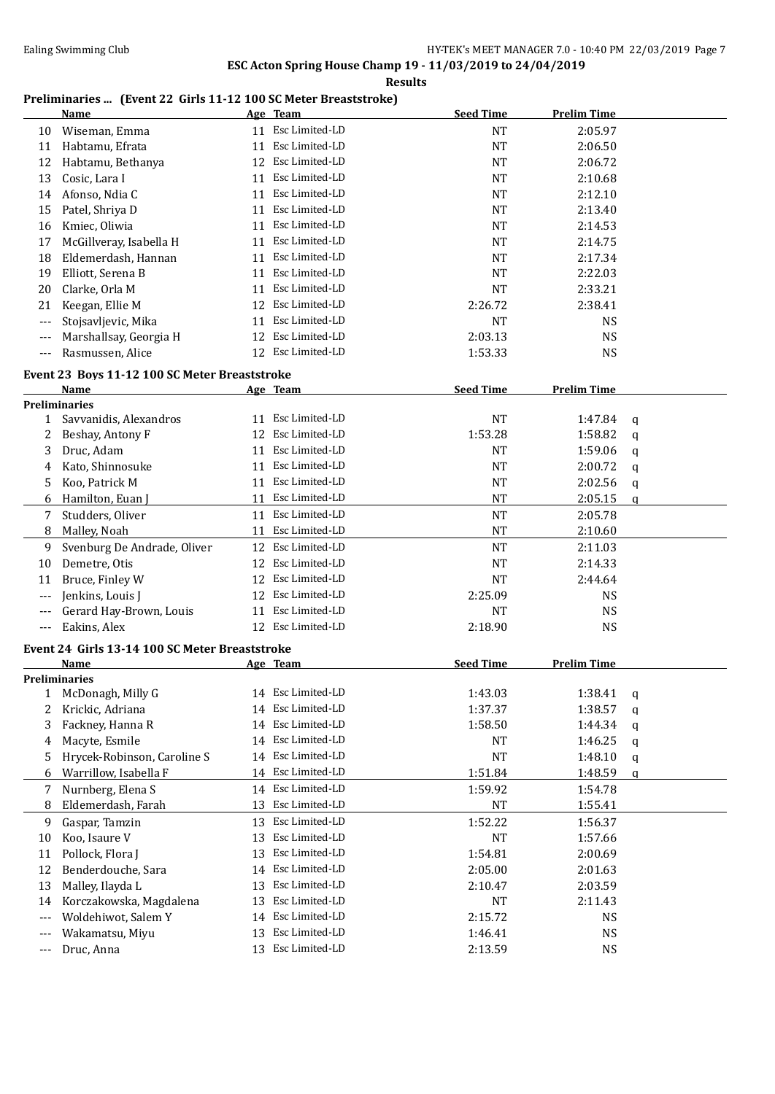### **Results**

### **Preliminaries ... (Event 22 Girls 11-12 100 SC Meter Breaststroke)**

|       | <b>Name</b>                                    |    | Age Team                         | <b>Seed Time</b> | <b>Prelim Time</b> |              |
|-------|------------------------------------------------|----|----------------------------------|------------------|--------------------|--------------|
| 10    | Wiseman, Emma                                  |    | 11 Esc Limited-LD                | <b>NT</b>        | 2:05.97            |              |
| 11    | Habtamu, Efrata                                | 11 | Esc Limited-LD                   | <b>NT</b>        | 2:06.50            |              |
| 12    | Habtamu, Bethanya                              |    | 12 Esc Limited-LD                | <b>NT</b>        | 2:06.72            |              |
| 13    | Cosic, Lara I                                  | 11 | Esc Limited-LD                   | <b>NT</b>        | 2:10.68            |              |
| 14    | Afonso, Ndia C                                 | 11 | Esc Limited-LD                   | <b>NT</b>        | 2:12.10            |              |
| 15    | Patel, Shriya D                                |    | 11 Esc Limited-LD                | <b>NT</b>        | 2:13.40            |              |
| 16    | Kmiec, Oliwia                                  | 11 | Esc Limited-LD                   | <b>NT</b>        | 2:14.53            |              |
| 17    | McGillveray, Isabella H                        |    | 11 Esc Limited-LD                | <b>NT</b>        | 2:14.75            |              |
| 18    | Eldemerdash, Hannan                            |    | 11 Esc Limited-LD                | <b>NT</b>        | 2:17.34            |              |
| 19    | Elliott, Serena B                              | 11 | Esc Limited-LD                   | <b>NT</b>        | 2:22.03            |              |
| 20    | Clarke, Orla M                                 | 11 | Esc Limited-LD                   | <b>NT</b>        | 2:33.21            |              |
| 21    | Keegan, Ellie M                                | 12 | Esc Limited-LD                   | 2:26.72          | 2:38.41            |              |
| ---   | Stojsavljevic, Mika                            | 11 | Esc Limited-LD                   | <b>NT</b>        | <b>NS</b>          |              |
| ---   | Marshallsay, Georgia H                         | 12 | Esc Limited-LD                   | 2:03.13          | <b>NS</b>          |              |
| $---$ | Rasmussen, Alice                               |    | 12 Esc Limited-LD                | 1:53.33          | <b>NS</b>          |              |
|       | Event 23 Boys 11-12 100 SC Meter Breaststroke  |    |                                  |                  |                    |              |
|       | <b>Name</b>                                    |    | Age Team                         | <b>Seed Time</b> | <b>Prelim Time</b> |              |
|       | <b>Preliminaries</b>                           |    |                                  |                  |                    |              |
| 1     | Savvanidis, Alexandros                         |    | 11 Esc Limited-LD                | <b>NT</b>        | 1:47.84            | q            |
| 2     | Beshay, Antony F                               | 12 | Esc Limited-LD                   | 1:53.28          | 1:58.82            | q            |
| 3     | Druc, Adam                                     | 11 | Esc Limited-LD                   | <b>NT</b>        | 1:59.06            | q            |
| 4     | Kato, Shinnosuke                               |    | 11 Esc Limited-LD                | <b>NT</b>        | 2:00.72            | q            |
| 5     | Koo, Patrick M                                 |    | 11 Esc Limited-LD                | <b>NT</b>        | 2:02.56            | q            |
| 6     | Hamilton, Euan J                               |    | 11 Esc Limited-LD                | <b>NT</b>        | 2:05.15            | $\mathbf{q}$ |
| 7     | Studders, Oliver                               |    | 11 Esc Limited-LD                | <b>NT</b>        | 2:05.78            |              |
| 8     | Malley, Noah                                   |    | 11 Esc Limited-LD                | <b>NT</b>        | 2:10.60            |              |
| 9     | Svenburg De Andrade, Oliver                    |    | 12 Esc Limited-LD                | <b>NT</b>        | 2:11.03            |              |
| 10    | Demetre, Otis                                  | 12 | Esc Limited-LD                   | <b>NT</b>        | 2:14.33            |              |
| 11    | Bruce, Finley W                                | 12 | Esc Limited-LD                   | <b>NT</b>        | 2:44.64            |              |
| ---   | Jenkins, Louis J                               | 12 | Esc Limited-LD                   | 2:25.09          | <b>NS</b>          |              |
| ---   | Gerard Hay-Brown, Louis                        | 11 | Esc Limited-LD                   | NT               | <b>NS</b>          |              |
| $---$ | Eakins, Alex                                   |    | 12 Esc Limited-LD                | 2:18.90          | <b>NS</b>          |              |
|       |                                                |    |                                  |                  |                    |              |
|       | Event 24 Girls 13-14 100 SC Meter Breaststroke |    |                                  |                  |                    |              |
|       | Name                                           |    | Age Team                         | <b>Seed Time</b> | <b>Prelim Time</b> |              |
|       | <b>Preliminaries</b><br>1 McDonagh, Milly G    |    | 14 Esc Limited-LD                | 1:43.03          | 1:38.41            |              |
| 2     | Krickic, Adriana                               |    | 14 Esc Limited-LD                | 1:37.37          | 1:38.57            | q<br>q       |
| 3     | Fackney, Hanna R                               |    | 14 Esc Limited-LD                | 1:58.50          | 1:44.34            | q            |
| 4     | Macyte, Esmile                                 |    | 14 Esc Limited-LD                | NT               | 1:46.25            | q            |
| 5     | Hrycek-Robinson, Caroline S                    | 14 | Esc Limited-LD                   | NT               | 1:48.10            | q            |
| 6     | Warrillow, Isabella F                          |    | 14 Esc Limited-LD                | 1:51.84          | 1:48.59            | q            |
| 7     | Nurnberg, Elena S                              |    | 14 Esc Limited-LD                | 1:59.92          | 1:54.78            |              |
| 8     | Eldemerdash, Farah                             | 13 | Esc Limited-LD                   | <b>NT</b>        | 1:55.41            |              |
| 9     | Gaspar, Tamzin                                 |    | 13 Esc Limited-LD                | 1:52.22          | 1:56.37            |              |
|       |                                                |    | Esc Limited-LD                   |                  |                    |              |
| 10    | Koo, Isaure V                                  | 13 | Esc Limited-LD                   | NT               | 1:57.66            |              |
| 11    | Pollock, Flora J                               | 13 | Esc Limited-LD                   | 1:54.81          | 2:00.69            |              |
| 12    | Benderdouche, Sara                             | 14 | Esc Limited-LD                   | 2:05.00          | 2:01.63            |              |
| 13    | Malley, Ilayda L                               | 13 |                                  | 2:10.47          | 2:03.59            |              |
| 14    | Korczakowska, Magdalena                        | 13 | Esc Limited-LD                   | <b>NT</b>        | 2:11.43            |              |
| ---   | Woldehiwot, Salem Y                            | 14 | Esc Limited-LD<br>Esc Limited-LD | 2:15.72          | <b>NS</b>          |              |
| ---   | Wakamatsu, Miyu                                | 13 |                                  | 1:46.41          | <b>NS</b>          |              |
| ---   | Druc, Anna                                     |    | 13 Esc Limited-LD                | 2:13.59          | <b>NS</b>          |              |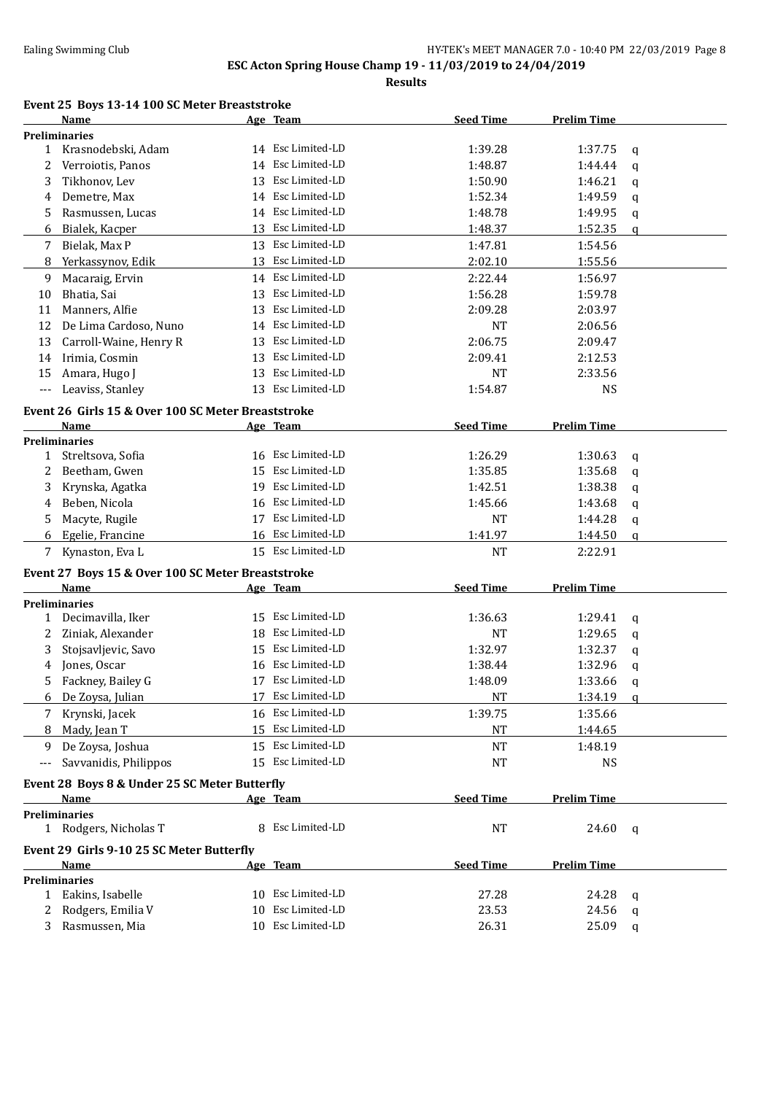**Results**

### **Event 25 Boys 13-14 100 SC Meter Breaststroke**

|       | <b>Name</b>                                        |          | Age Team          | <b>Seed Time</b>   | <b>Prelim Time</b> |               |
|-------|----------------------------------------------------|----------|-------------------|--------------------|--------------------|---------------|
|       | <b>Preliminaries</b>                               |          |                   |                    |                    |               |
|       | 1 Krasnodebski, Adam                               |          | 14 Esc Limited-LD | 1:39.28            | 1:37.75            | q             |
| 2     | Verroiotis, Panos                                  |          | 14 Esc Limited-LD | 1:48.87            | 1:44.44            | q             |
| 3     | Tikhonov, Lev                                      |          | 13 Esc Limited-LD | 1:50.90            | 1:46.21            | q             |
| 4     | Demetre, Max                                       |          | 14 Esc Limited-LD | 1:52.34            | 1:49.59            | q             |
| 5     | Rasmussen, Lucas                                   |          | 14 Esc Limited-LD | 1:48.78            | 1:49.95            | q             |
| 6     | Bialek, Kacper                                     |          | 13 Esc Limited-LD | 1:48.37            | 1:52.35            | $\mathfrak q$ |
| 7     | Bielak, Max P                                      |          | 13 Esc Limited-LD | 1:47.81            | 1:54.56            |               |
| 8     | Yerkassynov, Edik                                  | 13       | Esc Limited-LD    | 2:02.10            | 1:55.56            |               |
| 9     | Macaraig, Ervin                                    |          | 14 Esc Limited-LD | 2:22.44            | 1:56.97            |               |
| 10    | Bhatia, Sai                                        | 13       | Esc Limited-LD    | 1:56.28            | 1:59.78            |               |
| 11    | Manners, Alfie                                     | 13       | Esc Limited-LD    | 2:09.28            | 2:03.97            |               |
| 12    | De Lima Cardoso, Nuno                              | 14       | Esc Limited-LD    | <b>NT</b>          | 2:06.56            |               |
| 13    | Carroll-Waine, Henry R                             | 13       | Esc Limited-LD    | 2:06.75            | 2:09.47            |               |
| 14    | Irimia, Cosmin                                     | 13       | Esc Limited-LD    | 2:09.41            | 2:12.53            |               |
| 15    | Amara, Hugo J                                      | 13       | Esc Limited-LD    | <b>NT</b>          | 2:33.56            |               |
| $---$ | Leaviss, Stanley                                   |          | 13 Esc Limited-LD | 1:54.87            | <b>NS</b>          |               |
|       |                                                    |          |                   |                    |                    |               |
|       | Event 26 Girls 15 & Over 100 SC Meter Breaststroke |          |                   |                    |                    |               |
|       | <b>Name</b>                                        |          | Age Team          | <b>Seed Time</b>   | <b>Prelim Time</b> |               |
|       | <b>Preliminaries</b><br>1 Streltsova, Sofia        |          | 16 Esc Limited-LD | 1:26.29            | 1:30.63            |               |
|       |                                                    |          | Esc Limited-LD    |                    |                    | q             |
| 2     | Beetham, Gwen                                      | 15<br>19 | Esc Limited-LD    | 1:35.85<br>1:42.51 | 1:35.68            | q             |
| 3     | Krynska, Agatka                                    |          | 16 Esc Limited-LD |                    | 1:38.38            | q             |
| 4     | Beben, Nicola                                      |          | Esc Limited-LD    | 1:45.66            | 1:43.68            | q             |
| 5     | Macyte, Rugile                                     | 17       |                   | <b>NT</b>          | 1:44.28            | q             |
| 6     | Egelie, Francine                                   |          | 16 Esc Limited-LD | 1:41.97            | 1:44.50            | a             |
| 7     | Kynaston, Eva L                                    |          | 15 Esc Limited-LD | <b>NT</b>          | 2:22.91            |               |
|       | Event 27 Boys 15 & Over 100 SC Meter Breaststroke  |          |                   |                    |                    |               |
|       | Name                                               |          | Age Team          | <b>Seed Time</b>   | <b>Prelim Time</b> |               |
|       | <b>Preliminaries</b>                               |          |                   |                    |                    |               |
|       | 1 Decimavilla, Iker                                |          | 15 Esc Limited-LD | 1:36.63            | 1:29.41            | q             |
| 2     | Ziniak, Alexander                                  | 18       | Esc Limited-LD    | <b>NT</b>          | 1:29.65            | q             |
| 3     | Stojsavljevic, Savo                                |          | 15 Esc Limited-LD | 1:32.97            | 1:32.37            | q             |
| 4     | Jones, Oscar                                       |          | 16 Esc Limited-LD | 1:38.44            | 1:32.96            | q             |
| 5     | Fackney, Bailey G                                  |          | 17 Esc Limited-LD | 1:48.09            | 1:33.66            | q             |
| 6     | De Zoysa, Julian                                   |          | 17 Esc Limited-LD | <b>NT</b>          | 1:34.19            | q             |
|       | 7 Krynski, Jacek                                   |          | 16 Esc Limited-LD | 1:39.75            | 1:35.66            |               |
| 8     | Mady, Jean T                                       |          | 15 Esc Limited-LD | NT                 | 1:44.65            |               |
| 9     | De Zoysa, Joshua                                   |          | 15 Esc Limited-LD | NT                 | 1:48.19            |               |
| $---$ | Savvanidis, Philippos                              |          | 15 Esc Limited-LD | NT                 | <b>NS</b>          |               |
|       | Event 28 Boys 8 & Under 25 SC Meter Butterfly      |          |                   |                    |                    |               |
|       | Name                                               |          | Age Team          | <b>Seed Time</b>   | <b>Prelim Time</b> |               |
|       | <b>Preliminaries</b>                               |          |                   |                    |                    |               |
|       | 1 Rodgers, Nicholas T                              |          | 8 Esc Limited-LD  | <b>NT</b>          | 24.60              | q             |
|       |                                                    |          |                   |                    |                    |               |
|       | Event 29 Girls 9-10 25 SC Meter Butterfly          |          |                   |                    |                    |               |
|       | Name                                               |          | Age Team          | <b>Seed Time</b>   | <b>Prelim Time</b> |               |
|       | <b>Preliminaries</b>                               |          | 10 Esc Limited-LD |                    |                    |               |
|       | 1 Eakins, Isabelle                                 |          | 10 Esc Limited-LD | 27.28              | 24.28              | q             |
|       | 2 Rodgers, Emilia V                                |          | 10 Esc Limited-LD | 23.53              | 24.56              | q             |
|       | 3 Rasmussen, Mia                                   |          |                   | 26.31              | 25.09              | q             |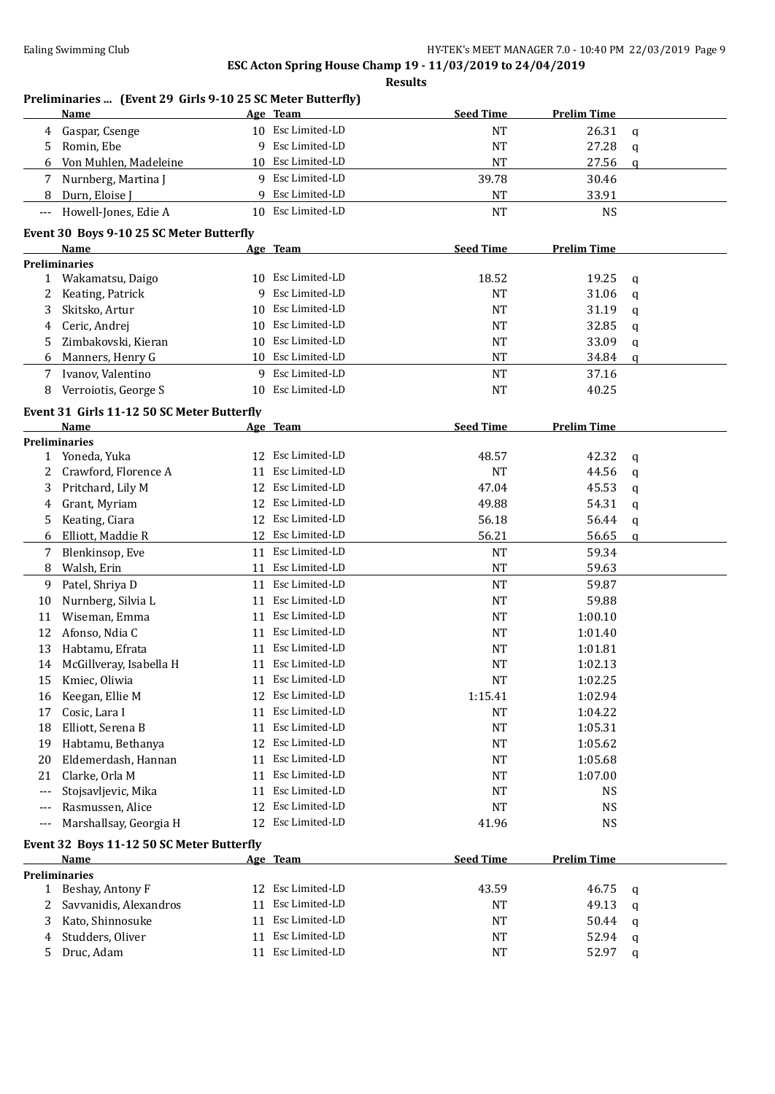|       | Preliminaries  (Event 29 Girls 9-10 25 SC Meter Butterfly)<br>Name |    | Age Team          | <b>Seed Time</b> | <b>Prelim Time</b> |              |
|-------|--------------------------------------------------------------------|----|-------------------|------------------|--------------------|--------------|
| 4     | Gaspar, Csenge                                                     |    | 10 Esc Limited-LD | <b>NT</b>        | 26.31              | q            |
| 5     | Romin, Ebe                                                         | 9  | Esc Limited-LD    | <b>NT</b>        | 27.28              | $\mathbf q$  |
| 6     | Von Muhlen, Madeleine                                              |    | 10 Esc Limited-LD | <b>NT</b>        | 27.56              | $\mathbf{q}$ |
| 7     | Nurnberg, Martina J                                                |    | 9 Esc Limited-LD  | 39.78            | 30.46              |              |
| 8     | Durn, Eloise J                                                     | 9  | Esc Limited-LD    | <b>NT</b>        | 33.91              |              |
| $---$ | Howell-Jones, Edie A                                               |    | 10 Esc Limited-LD | <b>NT</b>        | <b>NS</b>          |              |
|       |                                                                    |    |                   |                  |                    |              |
|       | Event 30 Boys 9-10 25 SC Meter Butterfly<br>Name                   |    | Age Team          | <b>Seed Time</b> | <b>Prelim Time</b> |              |
|       | <b>Preliminaries</b>                                               |    |                   |                  |                    |              |
| 1     | Wakamatsu, Daigo                                                   | 10 | Esc Limited-LD    | 18.52            | 19.25              | q            |
| 2     | Keating, Patrick                                                   | 9  | Esc Limited-LD    | NT               | 31.06              | q            |
| 3     | Skitsko, Artur                                                     | 10 | Esc Limited-LD    | <b>NT</b>        | 31.19              | q            |
| 4     | Ceric, Andrej                                                      | 10 | Esc Limited-LD    | NT               | 32.85              | q            |
| 5     | Zimbakovski, Kieran                                                | 10 | Esc Limited-LD    | NT               | 33.09              | q            |
| 6     | Manners, Henry G                                                   |    | 10 Esc Limited-LD | NT               | 34.84              | a            |
| 7     | Ivanov, Valentino                                                  | 9  | Esc Limited-LD    | <b>NT</b>        | 37.16              |              |
| 8     | Verroiotis, George S                                               | 10 | Esc Limited-LD    | <b>NT</b>        | 40.25              |              |
|       | Event 31 Girls 11-12 50 SC Meter Butterfly                         |    |                   |                  |                    |              |
|       | Name                                                               |    | Age Team          | <b>Seed Time</b> | <b>Prelim Time</b> |              |
|       | Preliminaries                                                      |    |                   |                  |                    |              |
| 1     | Yoneda, Yuka                                                       |    | 12 Esc Limited-LD | 48.57            | 42.32              | q            |
| 2     | Crawford, Florence A                                               | 11 | Esc Limited-LD    | <b>NT</b>        | 44.56              | q            |
| 3     | Pritchard, Lily M                                                  | 12 | Esc Limited-LD    | 47.04            | 45.53              | q            |
| 4     | Grant, Myriam                                                      | 12 | Esc Limited-LD    | 49.88            | 54.31              | q            |
| 5     | Keating, Ciara                                                     | 12 | Esc Limited-LD    | 56.18            | 56.44              | q            |
| 6     | Elliott, Maddie R                                                  | 12 | Esc Limited-LD    | 56.21            | 56.65              | a            |
| 7     | Blenkinsop, Eve                                                    |    | 11 Esc Limited-LD | <b>NT</b>        | 59.34              |              |
| 8     | Walsh, Erin                                                        | 11 | Esc Limited-LD    | <b>NT</b>        | 59.63              |              |
| 9     | Patel, Shriya D                                                    |    | 11 Esc Limited-LD | <b>NT</b>        | 59.87              |              |
| 10    | Nurnberg, Silvia L                                                 | 11 | Esc Limited-LD    | <b>NT</b>        | 59.88              |              |
| 11    | Wiseman, Emma                                                      | 11 | Esc Limited-LD    | NT               | 1:00.10            |              |
| 12    | Afonso, Ndia C                                                     | 11 | Esc Limited-LD    | <b>NT</b>        | 1:01.40            |              |
| 13    | Habtamu, Efrata                                                    | 11 | Esc Limited-LD    | NT               | 1:01.81            |              |
| 14    | McGillveray, Isabella H                                            |    | 11 Esc Limited-LD | <b>NT</b>        | 1:02.13            |              |
| 15    | Kmiec, Oliwia                                                      |    | 11 Esc Limited-LD | <b>NT</b>        | 1:02.25            |              |
| 16    | Keegan, Ellie M                                                    | 12 | Esc Limited-LD    | 1:15.41          | 1:02.94            |              |
| 17    | Cosic, Lara I                                                      | 11 | Esc Limited-LD    | NT               | 1:04.22            |              |
| 18    | Elliott, Serena B                                                  | 11 | Esc Limited-LD    | NT               | 1:05.31            |              |
| 19    | Habtamu, Bethanya                                                  | 12 | Esc Limited-LD    | <b>NT</b>        | 1:05.62            |              |
| 20    | Eldemerdash, Hannan                                                | 11 | Esc Limited-LD    | <b>NT</b>        | 1:05.68            |              |
| 21    | Clarke, Orla M                                                     | 11 | Esc Limited-LD    | <b>NT</b>        | 1:07.00            |              |
| ---   | Stojsavljevic, Mika                                                | 11 | Esc Limited-LD    | NT               | <b>NS</b>          |              |
| $---$ | Rasmussen, Alice                                                   | 12 | Esc Limited-LD    | <b>NT</b>        | <b>NS</b>          |              |
| $---$ | Marshallsay, Georgia H                                             | 12 | Esc Limited-LD    | 41.96            | <b>NS</b>          |              |
|       | Event 32 Boys 11-12 50 SC Meter Butterfly                          |    |                   |                  |                    |              |
|       | Name                                                               |    | Age Team          | <b>Seed Time</b> | <b>Prelim Time</b> |              |
|       | <b>Preliminaries</b>                                               |    |                   |                  |                    |              |
| 1     | Beshay, Antony F                                                   | 12 | Esc Limited-LD    | 43.59            | 46.75              | q            |
| 2     | Savvanidis, Alexandros                                             | 11 | Esc Limited-LD    | NT               | 49.13              | q            |
| 3     | Kato, Shinnosuke                                                   | 11 | Esc Limited-LD    | NT               | 50.44              | q            |
| 4     | Studders, Oliver                                                   | 11 | Esc Limited-LD    | NT               | 52.94              | q            |
| 5     | Druc, Adam                                                         |    | 11 Esc Limited-LD | <b>NT</b>        | 52.97              | q            |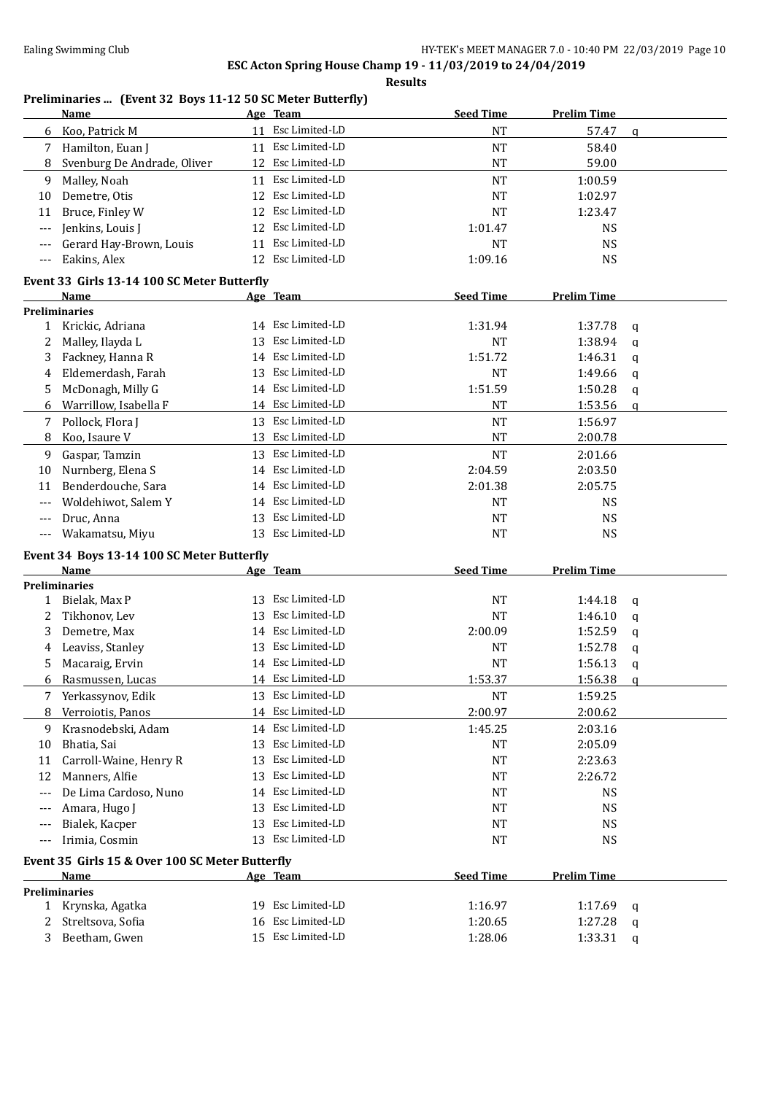### **Results**

### **Preliminaries ... (Event 32 Boys 11-12 50 SC Meter Butterfly)**

|              | Name                                            |    | Age Team          | <b>Seed Time</b> | <b>Prelim Time</b> |             |
|--------------|-------------------------------------------------|----|-------------------|------------------|--------------------|-------------|
| 6            | Koo, Patrick M                                  | 11 | Esc Limited-LD    | <b>NT</b>        | 57.47              | $\mathbf q$ |
| 7            | Hamilton, Euan J                                |    | 11 Esc Limited-LD | $\rm{NT}$        | 58.40              |             |
| 8            | Svenburg De Andrade, Oliver                     |    | 12 Esc Limited-LD | $\rm{NT}$        | 59.00              |             |
| 9            | Malley, Noah                                    |    | 11 Esc Limited-LD | <b>NT</b>        | 1:00.59            |             |
| 10           | Demetre, Otis                                   | 12 | Esc Limited-LD    | <b>NT</b>        | 1:02.97            |             |
| 11           | Bruce, Finley W                                 | 12 | Esc Limited-LD    | <b>NT</b>        | 1:23.47            |             |
| $---$        | Jenkins, Louis J                                | 12 | Esc Limited-LD    | 1:01.47          | <b>NS</b>          |             |
|              | Gerard Hay-Brown, Louis                         | 11 | Esc Limited-LD    | <b>NT</b>        | <b>NS</b>          |             |
| $---$        | Eakins, Alex                                    | 12 | Esc Limited-LD    | 1:09.16          | <b>NS</b>          |             |
|              | Event 33 Girls 13-14 100 SC Meter Butterfly     |    |                   |                  |                    |             |
|              | <b>Name</b>                                     |    | <u>Age Team</u>   | <b>Seed Time</b> | <b>Prelim Time</b> |             |
|              | <b>Preliminaries</b>                            |    |                   |                  |                    |             |
| $\mathbf{1}$ | Krickic, Adriana                                |    | 14 Esc Limited-LD | 1:31.94          | 1:37.78            | q           |
| 2            | Malley, Ilayda L                                | 13 | Esc Limited-LD    | NT               | 1:38.94            | q           |
| 3            | Fackney, Hanna R                                | 14 | Esc Limited-LD    | 1:51.72          | 1:46.31            | q           |
| 4            | Eldemerdash, Farah                              | 13 | Esc Limited-LD    | <b>NT</b>        | 1:49.66            | q           |
| 5.           | McDonagh, Milly G                               | 14 | Esc Limited-LD    | 1:51.59          | 1:50.28            | q           |
| 6            | Warrillow, Isabella F                           |    | 14 Esc Limited-LD | <b>NT</b>        | 1:53.56            | q           |
| 7            | Pollock, Flora J                                | 13 | Esc Limited-LD    | <b>NT</b>        | 1:56.97            |             |
| 8            | Koo, Isaure V                                   | 13 | Esc Limited-LD    | <b>NT</b>        | 2:00.78            |             |
| 9            | Gaspar, Tamzin                                  | 13 | Esc Limited-LD    | <b>NT</b>        | 2:01.66            |             |
| 10           | Nurnberg, Elena S                               | 14 | Esc Limited-LD    | 2:04.59          | 2:03.50            |             |
| 11           | Benderdouche, Sara                              | 14 | Esc Limited-LD    | 2:01.38          | 2:05.75            |             |
|              | Woldehiwot, Salem Y                             | 14 | Esc Limited-LD    | <b>NT</b>        | <b>NS</b>          |             |
|              | Druc, Anna                                      | 13 | Esc Limited-LD    | <b>NT</b>        | <b>NS</b>          |             |
|              | Wakamatsu, Miyu                                 | 13 | Esc Limited-LD    | <b>NT</b>        | <b>NS</b>          |             |
|              | Event 34 Boys 13-14 100 SC Meter Butterfly      |    |                   |                  |                    |             |
|              | Name                                            |    | Age Team          | <b>Seed Time</b> | <b>Prelim Time</b> |             |
|              | <b>Preliminaries</b>                            |    |                   |                  |                    |             |
| $\mathbf{1}$ | Bielak, Max P                                   | 13 | Esc Limited-LD    | NT               | 1:44.18            | $\mathbf q$ |
| 2            | Tikhonov, Lev                                   | 13 | Esc Limited-LD    | <b>NT</b>        | 1:46.10            | q           |
| 3            | Demetre, Max                                    | 14 | Esc Limited-LD    | 2:00.09          | 1:52.59            | q           |
| 4            | Leaviss, Stanley                                | 13 | Esc Limited-LD    | <b>NT</b>        | 1:52.78            | q           |
| 5            | Macaraig, Ervin                                 |    | 14 Esc Limited-LD | <b>NT</b>        | 1:56.13            | q           |
| 6            | Rasmussen, Lucas                                |    | 14 Esc Limited-LD | 1:53.37          | 1:56.38            | $\mathbf q$ |
|              | Yerkassynov, Edik                               |    | 13 Esc Limited-LD | <b>NT</b>        | 1:59.25            |             |
| 8            | Verroiotis, Panos                               | 14 | Esc Limited-LD    | 2:00.97          | 2:00.62            |             |
| 9            | Krasnodebski, Adam                              | 14 | Esc Limited-LD    | 1:45.25          | 2:03.16            |             |
| 10           | Bhatia, Sai                                     | 13 | Esc Limited-LD    | NT               | 2:05.09            |             |
| 11           | Carroll-Waine, Henry R                          | 13 | Esc Limited-LD    | NT               | 2:23.63            |             |
| 12           | Manners, Alfie                                  | 13 | Esc Limited-LD    | NT               | 2:26.72            |             |
| $---$        | De Lima Cardoso, Nuno                           | 14 | Esc Limited-LD    | NT               | NS                 |             |
|              | Amara, Hugo J                                   | 13 | Esc Limited-LD    | <b>NT</b>        | <b>NS</b>          |             |
|              | Bialek, Kacper                                  | 13 | Esc Limited-LD    | NT               | NS                 |             |
|              | Irimia, Cosmin                                  | 13 | Esc Limited-LD    | NT               | <b>NS</b>          |             |
|              | Event 35 Girls 15 & Over 100 SC Meter Butterfly |    |                   |                  |                    |             |
|              | Name                                            |    | Age Team          | <b>Seed Time</b> | <b>Prelim Time</b> |             |
|              | <b>Preliminaries</b>                            |    |                   |                  |                    |             |
|              | 1 Krynska, Agatka                               |    | 19 Esc Limited-LD | 1:16.97          | 1:17.69            | q           |
|              | Streltsova, Sofia                               | 16 | Esc Limited-LD    | 1:20.65          | 1:27.28            | q           |
| 3            | Beetham, Gwen                                   |    | 15 Esc Limited-LD | 1:28.06          | 1:33.31            | q           |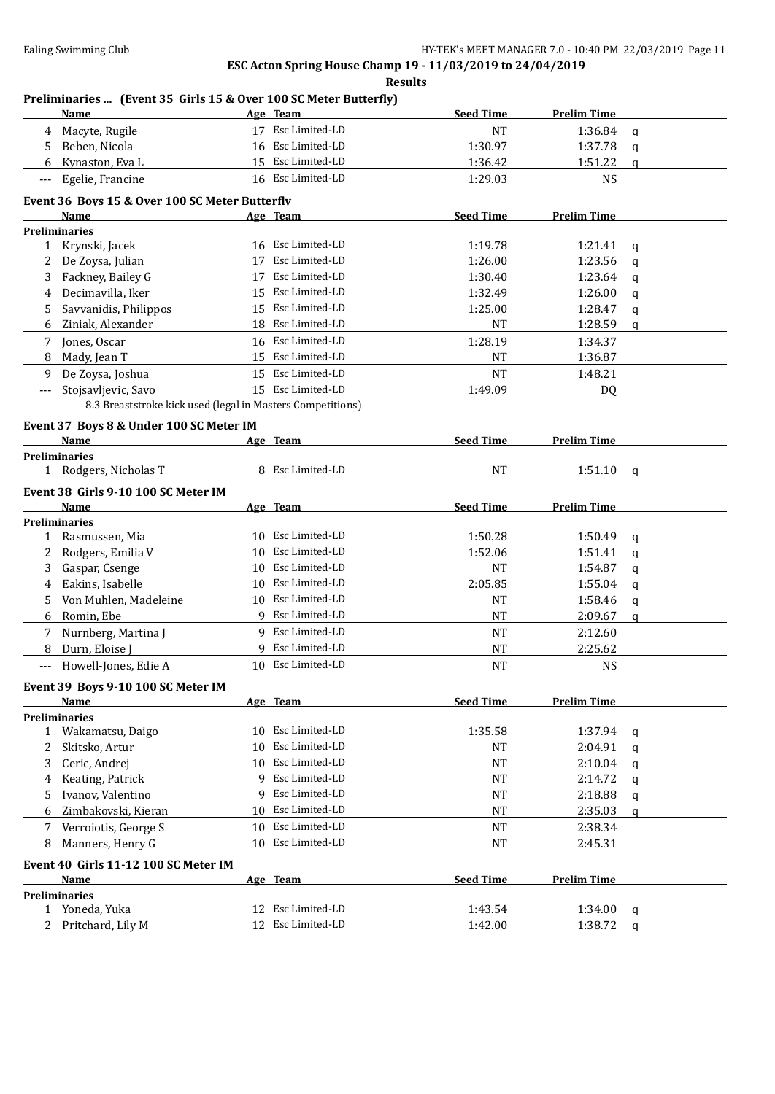**Results**

### **Preliminaries ... (Event 35 Girls 15 & Over 100 SC Meter Butterfly)**

|                          | Name                                                       |                 | Age Team          | <b>Seed Time</b> | <b>Prelim Time</b> |             |
|--------------------------|------------------------------------------------------------|-----------------|-------------------|------------------|--------------------|-------------|
| 4                        | Macyte, Rugile                                             |                 | 17 Esc Limited-LD | NT               | 1:36.84            | $\mathbf q$ |
| 5                        | Beben, Nicola                                              | 16              | Esc Limited-LD    | 1:30.97          | 1:37.78            | q           |
| 6                        | Kynaston, Eva L                                            |                 | 15 Esc Limited-LD | 1:36.42          | 1:51.22            | q           |
| $\overline{\phantom{a}}$ | Egelie, Francine                                           |                 | 16 Esc Limited-LD | 1:29.03          | <b>NS</b>          |             |
|                          | Event 36 Boys 15 & Over 100 SC Meter Butterfly             |                 |                   |                  |                    |             |
|                          | Name                                                       |                 | <u>Age Team</u>   | <b>Seed Time</b> | <b>Prelim Time</b> |             |
|                          | <b>Preliminaries</b>                                       |                 |                   |                  |                    |             |
|                          | 1 Krynski, Jacek                                           |                 | 16 Esc Limited-LD | 1:19.78          | 1:21.41            | q           |
| 2                        | De Zoysa, Julian                                           | 17              | Esc Limited-LD    | 1:26.00          | 1:23.56            | q           |
| 3                        | Fackney, Bailey G                                          | 17              | Esc Limited-LD    | 1:30.40          | 1:23.64            | q           |
| 4                        | Decimavilla, Iker                                          | 15              | Esc Limited-LD    | 1:32.49          | 1:26.00            | q           |
| 5                        | Savvanidis, Philippos                                      |                 | 15 Esc Limited-LD | 1:25.00          | 1:28.47            | q           |
| 6                        | Ziniak, Alexander                                          |                 | 18 Esc Limited-LD | <b>NT</b>        | 1:28.59            | q           |
| 7                        | Jones, Oscar                                               |                 | 16 Esc Limited-LD | 1:28.19          | 1:34.37            |             |
| 8                        | Mady, Jean T                                               |                 | 15 Esc Limited-LD | NT               | 1:36.87            |             |
| 9                        | De Zoysa, Joshua                                           |                 | 15 Esc Limited-LD | <b>NT</b>        | 1:48.21            |             |
| ---                      | Stojsavljevic, Savo                                        |                 | 15 Esc Limited-LD | 1:49.09          | DQ                 |             |
|                          | 8.3 Breaststroke kick used (legal in Masters Competitions) |                 |                   |                  |                    |             |
|                          |                                                            |                 |                   |                  |                    |             |
|                          | Event 37 Boys 8 & Under 100 SC Meter IM                    |                 |                   |                  |                    |             |
|                          | Name<br><b>Preliminaries</b>                               |                 | Age Team          | <b>Seed Time</b> | <b>Prelim Time</b> |             |
| 1                        | Rodgers, Nicholas T                                        |                 | 8 Esc Limited-LD  | <b>NT</b>        | 1:51.10            | q           |
|                          |                                                            |                 |                   |                  |                    |             |
|                          | Event 38 Girls 9-10 100 SC Meter IM                        |                 |                   |                  |                    |             |
|                          | Name                                                       |                 | Age Team          | <b>Seed Time</b> | <b>Prelim Time</b> |             |
|                          | <b>Preliminaries</b>                                       |                 |                   |                  |                    |             |
| 1                        | Rasmussen, Mia                                             | 10              | Esc Limited-LD    | 1:50.28          | 1:50.49            | q           |
| 2                        | Rodgers, Emilia V                                          | 10              | Esc Limited-LD    | 1:52.06          | 1:51.41            | q           |
| 3                        | Gaspar, Csenge                                             | 10              | Esc Limited-LD    | NT               | 1:54.87            | q           |
| 4                        | Eakins, Isabelle                                           | 10              | Esc Limited-LD    | 2:05.85          | 1:55.04            | q           |
| 5.                       | Von Muhlen, Madeleine                                      | 10              | Esc Limited-LD    | NT               | 1:58.46            | q           |
| 6                        | Romin, Ebe                                                 |                 | 9 Esc Limited-LD  | <b>NT</b>        | 2:09.67            | a           |
| 7                        | Nurnberg, Martina J                                        |                 | 9 Esc Limited-LD  | <b>NT</b>        | 2:12.60            |             |
| 8                        | Durn, Eloise J                                             |                 | 9 Esc Limited-LD  | <b>NT</b>        | 2:25.62            |             |
| $---$                    | Howell-Jones, Edie A                                       |                 | 10 Esc Limited-LD | <b>NT</b>        | <b>NS</b>          |             |
|                          | Event 39 Boys 9-10 100 SC Meter IM                         |                 |                   |                  |                    |             |
|                          | <b>Name</b>                                                |                 | Age Team          | <b>Seed Time</b> | <b>Prelim Time</b> |             |
|                          | <b>Preliminaries</b>                                       |                 |                   |                  |                    |             |
| $\mathbf{1}$             | Wakamatsu, Daigo                                           | 10              | Esc Limited-LD    | 1:35.58          | 1:37.94            | q           |
| 2                        | Skitsko, Artur                                             | 10              | Esc Limited-LD    | NT               | 2:04.91            | q           |
| 3                        | Ceric, Andrej                                              | 10              | Esc Limited-LD    | NT               | 2:10.04            | q           |
| 4                        | Keating, Patrick                                           | 9               | Esc Limited-LD    | NT               | 2:14.72            | q           |
| 5                        | Ivanov, Valentino                                          | 9               | Esc Limited-LD    | NT               | 2:18.88            | q           |
| 6                        | Zimbakovski, Kieran                                        | 10              | Esc Limited-LD    | NT               | 2:35.03            | q           |
| 7                        | Verroiotis, George S                                       | 10              | Esc Limited-LD    | NT               | 2:38.34            |             |
| 8                        | Manners, Henry G                                           | 10 <sup>1</sup> | Esc Limited-LD    | $\rm{NT}$        | 2:45.31            |             |
|                          | Event 40 Girls 11-12 100 SC Meter IM                       |                 |                   |                  |                    |             |
|                          | <b>Name</b>                                                |                 | Age Team          | <b>Seed Time</b> | <b>Prelim Time</b> |             |
|                          | <b>Preliminaries</b>                                       |                 |                   |                  |                    |             |
|                          | 1 Yoneda, Yuka                                             |                 | 12 Esc Limited-LD | 1:43.54          | 1:34.00            | q           |
| $2^{\circ}$              | Pritchard, Lily M                                          |                 | 12 Esc Limited-LD | 1:42.00          | 1:38.72            | q           |
|                          |                                                            |                 |                   |                  |                    |             |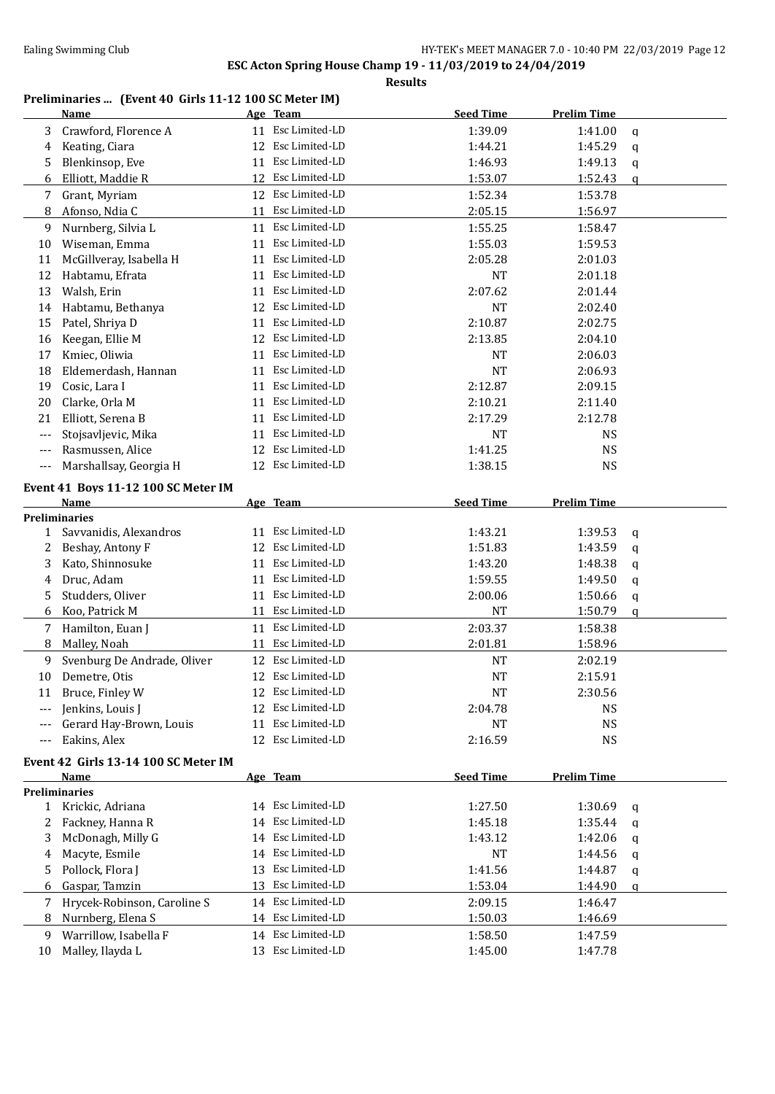#### **Preliminaries ... (Event 40 Girls 11-12 100 SC Meter IM)**

|              | Name                                 |    | Age Team          | <b>Seed Time</b> | <b>Prelim Time</b> |             |
|--------------|--------------------------------------|----|-------------------|------------------|--------------------|-------------|
| 3            | Crawford, Florence A                 | 11 | Esc Limited-LD    | 1:39.09          | 1:41.00            | $\mathbf q$ |
| 4            | Keating, Ciara                       | 12 | Esc Limited-LD    | 1:44.21          | 1:45.29            | q           |
| 5            | Blenkinsop, Eve                      | 11 | Esc Limited-LD    | 1:46.93          | 1:49.13            | q           |
| 6            | Elliott, Maddie R                    |    | 12 Esc Limited-LD | 1:53.07          | 1:52.43            | q           |
| 7            | Grant, Myriam                        |    | 12 Esc Limited-LD | 1:52.34          | 1:53.78            |             |
| 8            | Afonso, Ndia C                       |    | 11 Esc Limited-LD | 2:05.15          | 1:56.97            |             |
| 9            | Nurnberg, Silvia L                   |    | 11 Esc Limited-LD | 1:55.25          | 1:58.47            |             |
| 10           | Wiseman, Emma                        | 11 | Esc Limited-LD    | 1:55.03          | 1:59.53            |             |
| 11           | McGillveray, Isabella H              | 11 | Esc Limited-LD    | 2:05.28          | 2:01.03            |             |
| 12           | Habtamu, Efrata                      | 11 | Esc Limited-LD    | <b>NT</b>        | 2:01.18            |             |
| 13           | Walsh, Erin                          | 11 | Esc Limited-LD    | 2:07.62          | 2:01.44            |             |
| 14           | Habtamu, Bethanya                    | 12 | Esc Limited-LD    | <b>NT</b>        | 2:02.40            |             |
| 15           | Patel, Shriya D                      | 11 | Esc Limited-LD    | 2:10.87          | 2:02.75            |             |
| 16           | Keegan, Ellie M                      | 12 | Esc Limited-LD    | 2:13.85          | 2:04.10            |             |
| 17           | Kmiec, Oliwia                        | 11 | Esc Limited-LD    | NT               | 2:06.03            |             |
| 18           | Eldemerdash, Hannan                  | 11 | Esc Limited-LD    | <b>NT</b>        | 2:06.93            |             |
| 19           | Cosic, Lara I                        | 11 | Esc Limited-LD    | 2:12.87          | 2:09.15            |             |
| 20           | Clarke, Orla M                       | 11 | Esc Limited-LD    | 2:10.21          | 2:11.40            |             |
| 21           | Elliott, Serena B                    | 11 | Esc Limited-LD    | 2:17.29          | 2:12.78            |             |
| $---$        | Stojsavljevic, Mika                  | 11 | Esc Limited-LD    | NT               | <b>NS</b>          |             |
| $---$        | Rasmussen, Alice                     |    | 12 Esc Limited-LD | 1:41.25          | <b>NS</b>          |             |
| $---$        | Marshallsay, Georgia H               |    | 12 Esc Limited-LD | 1:38.15          | <b>NS</b>          |             |
|              | Event 41 Boys 11-12 100 SC Meter IM  |    |                   |                  |                    |             |
|              | Name                                 |    | Age Team          | <b>Seed Time</b> | <b>Prelim Time</b> |             |
|              | <b>Preliminaries</b>                 |    |                   |                  |                    |             |
| 1            | Savvanidis, Alexandros               | 11 | Esc Limited-LD    | 1:43.21          | 1:39.53            | q           |
| 2            | Beshay, Antony F                     | 12 | Esc Limited-LD    | 1:51.83          | 1:43.59            | q           |
| 3            | Kato, Shinnosuke                     | 11 | Esc Limited-LD    | 1:43.20          | 1:48.38            | q           |
| 4            | Druc, Adam                           | 11 | Esc Limited-LD    | 1:59.55          | 1:49.50            | q           |
| 5            | Studders, Oliver                     | 11 | Esc Limited-LD    | 2:00.06          | 1:50.66            | q           |
| 6            | Koo, Patrick M                       | 11 | Esc Limited-LD    | NT               | 1:50.79            | q           |
| 7            | Hamilton, Euan J                     | 11 | Esc Limited-LD    | 2:03.37          | 1:58.38            |             |
| 8            | Malley, Noah                         | 11 | Esc Limited-LD    | 2:01.81          | 1:58.96            |             |
| 9            | Svenburg De Andrade, Oliver          |    | 12 Esc Limited-LD | NT               | 2:02.19            |             |
| 10           | Demetre, Otis                        |    | 12 Esc Limited-LD | <b>NT</b>        | 2:15.91            |             |
| 11           | Bruce, Finley W                      |    | 12 Esc Limited-LD | <b>NT</b>        | 2:30.56            |             |
| ---          | Jenkins, Louis J                     |    | 12 Esc Limited-LD | 2:04.78          | <b>NS</b>          |             |
|              | Gerard Hay-Brown, Louis              | 11 | Esc Limited-LD    | <b>NT</b>        | <b>NS</b>          |             |
| ---          | Eakins, Alex                         |    | 12 Esc Limited-LD | 2:16.59          | <b>NS</b>          |             |
|              | Event 42 Girls 13-14 100 SC Meter IM |    |                   |                  |                    |             |
|              | Name                                 |    | Age Team          | <b>Seed Time</b> | <b>Prelim Time</b> |             |
|              | <b>Preliminaries</b>                 |    |                   |                  |                    |             |
| $\mathbf{1}$ | Krickic, Adriana                     |    | 14 Esc Limited-LD | 1:27.50          | 1:30.69            | q           |
| 2            | Fackney, Hanna R                     |    | 14 Esc Limited-LD | 1:45.18          | 1:35.44            | q           |
| 3            | McDonagh, Milly G                    |    | 14 Esc Limited-LD | 1:43.12          | 1:42.06            | q           |
| 4            | Macyte, Esmile                       |    | 14 Esc Limited-LD | NT               | 1:44.56            | q           |
| 5            | Pollock, Flora J                     |    | 13 Esc Limited-LD | 1:41.56          | 1:44.87            | q           |
| 6            | Gaspar, Tamzin                       |    | 13 Esc Limited-LD | 1:53.04          | 1:44.90            | q           |
| 7            | Hrycek-Robinson, Caroline S          |    | 14 Esc Limited-LD | 2:09.15          | 1:46.47            |             |
| 8            | Nurnberg, Elena S                    |    | 14 Esc Limited-LD | 1:50.03          | 1:46.69            |             |
| 9            | Warrillow, Isabella F                |    | 14 Esc Limited-LD | 1:58.50          | 1:47.59            |             |
| 10           | Malley, Ilayda L                     |    | 13 Esc Limited-LD | 1:45.00          | 1:47.78            |             |
|              |                                      |    |                   |                  |                    |             |